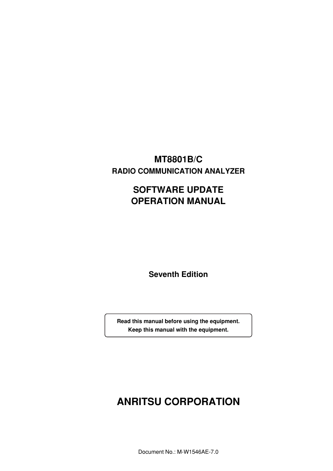# **MT8801B/C RADIO COMMUNICATION ANALYZER**

# **SOFTWARE UPDATE OPERATION MANUAL**

**Seventh Edition**

**Read this manual before using the equipment. Keep this manual with the equipment.**

# **ANRITSU CORPORATION**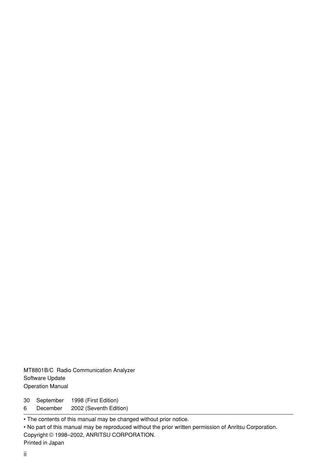MT8801B/C Radio Communication Analyzer Software Update Operation Manual

30 September 1998 (First Edition)

6 December 2002 (Seventh Edition)

• The contents of this manual may be changed without prior notice.

• No part of this manual may be reproduced without the prior written permission of Anritsu Corporation. Copyright © 1998–2002, ANRITSU CORPORATION. Printed in Japan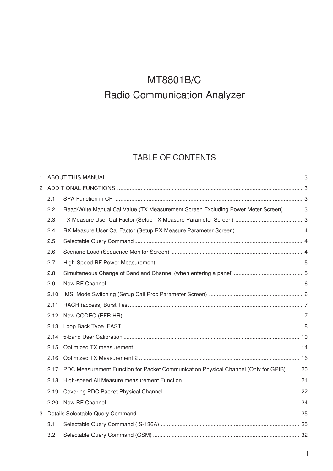# TABLE OF CONTENTS

| 1. |      |                                                                                       |  |  |  |  |  |
|----|------|---------------------------------------------------------------------------------------|--|--|--|--|--|
|    |      |                                                                                       |  |  |  |  |  |
|    | 2.1  |                                                                                       |  |  |  |  |  |
|    | 2.2  | Read/Write Manual Cal Value (TX Measurement Screen Excluding Power Meter Screen)  3   |  |  |  |  |  |
|    | 2.3  |                                                                                       |  |  |  |  |  |
|    | 2.4  |                                                                                       |  |  |  |  |  |
|    | 2.5  |                                                                                       |  |  |  |  |  |
|    | 2.6  |                                                                                       |  |  |  |  |  |
|    | 2.7  |                                                                                       |  |  |  |  |  |
|    | 2.8  |                                                                                       |  |  |  |  |  |
|    | 2.9  |                                                                                       |  |  |  |  |  |
|    | 2.10 |                                                                                       |  |  |  |  |  |
|    | 2.11 |                                                                                       |  |  |  |  |  |
|    | 2.12 |                                                                                       |  |  |  |  |  |
|    | 2.13 |                                                                                       |  |  |  |  |  |
|    | 2.14 |                                                                                       |  |  |  |  |  |
|    | 2.15 |                                                                                       |  |  |  |  |  |
|    | 2.16 |                                                                                       |  |  |  |  |  |
|    | 2.17 | PDC Measurement Function for Packet Communication Physical Channel (Only for GPIB) 20 |  |  |  |  |  |
|    | 2.18 |                                                                                       |  |  |  |  |  |
|    | 2.19 |                                                                                       |  |  |  |  |  |
|    | 2.20 |                                                                                       |  |  |  |  |  |
|    |      |                                                                                       |  |  |  |  |  |
|    | 3.1  |                                                                                       |  |  |  |  |  |
|    | 3.2  |                                                                                       |  |  |  |  |  |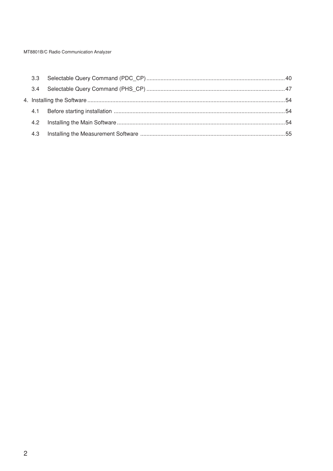| 4.3 |  |
|-----|--|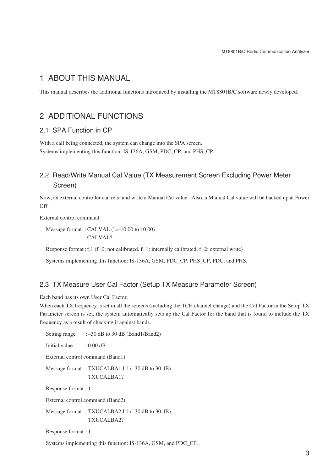# 1 ABOUT THIS MANUAL

This manual describes the additional functions introduced by installing the MT8801B/C software newly developed.

# 2 ADDITIONAL FUNCTIONS

## 2.1 SPA Function in CP

With a call being connected, the system can change into the SPA screen. Systems implementing this function: IS-136A, GSM, PDC\_CP, and PHS\_CP.

# 2.2 Read/Write Manual Cal Value (TX Measurement Screen Excluding Power Meter Screen)

Now, an external controller can read and write a Manual Cal value. Also, a Manual Cal value will be backed up at Power Off.

External control command

Message format: CALVAL (l=-10.00 to 10.00) CALVAL?

Response format : f,1 (f=0: not calibrated, f=1: internally calibrated, f=2: external write)

Systems implementing this function: IS-136A, GSM, PDC\_CP, PHS\_CP, PDC, and PHS.

## 2.3 TX Measure User Cal Factor (Setup TX Measure Parameter Screen)

Each band has its own User Cal Factor.

When each TX frequency is set in all the screens (including the TCH channel change) and the Cal Factor in the Setup TX Parameter screen is set, the system automatically sets up the Cal Factor for the band that is found to include the TX frequency as a result of checking it against bands.

| Setting range                                                    | $: -30$ dB to 30 dB (Band1/Band2) |  |  |  |  |  |  |
|------------------------------------------------------------------|-----------------------------------|--|--|--|--|--|--|
| Initial value                                                    | $: 0.00 \text{ dB}$               |  |  |  |  |  |  |
|                                                                  | External control command (Band1)  |  |  |  |  |  |  |
| Message format : TXUCALBA1 1: $1(-30$ dB to 30 dB)<br>TXUCALBA1? |                                   |  |  |  |  |  |  |
| Response format : 1                                              |                                   |  |  |  |  |  |  |
|                                                                  | External control command (Band2)  |  |  |  |  |  |  |
| Message format : TXUCALBA2 1: $1(-30$ dB to 30 dB)<br>TXUCALBA2? |                                   |  |  |  |  |  |  |
| Response format : 1                                              |                                   |  |  |  |  |  |  |

Systems implementing this function: IS-136A, GSM, and PDC\_CP.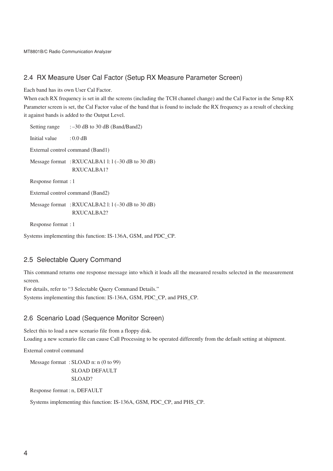## 2.4 RX Measure User Cal Factor (Setup RX Measure Parameter Screen)

Each band has its own User Cal Factor.

When each RX frequency is set in all the screens (including the TCH channel change) and the Cal Factor in the Setup RX Parameter screen is set, the Cal Factor value of the band that is found to include the RX frequency as a result of checking it against bands is added to the Output Level.

Setting range  $:= -30$  dB to 30 dB (Band/Band2) Initial value : 0.0 dB External control command (Band1) Message format : RXUCALBA1 l: l (-30 dB to 30 dB) RXUCALBA1? Response format : 1 External control command (Band2) Message format : RXUCALBA2 l: l (-30 dB to 30 dB) RXUCALBA2? Response format : 1

Systems implementing this function: IS-136A, GSM, and PDC\_CP.

## 2.5 Selectable Query Command

This command returns one response message into which it loads all the measured results selected in the measurement screen.

For details, refer to "3 Selectable Query Command Details." Systems implementing this function: IS-136A, GSM, PDC\_CP, and PHS\_CP.

## 2.6 Scenario Load (Sequence Monitor Screen)

Select this to load a new scenario file from a floppy disk. Loading a new scenario file can cause Call Processing to be operated differently from the default setting at shipment.

External control command

```
Message format : SLOAD n: n (0 to 99)
               SLOAD DEFAULT
               SLOAD?
```
Response format : n, DEFAULT

Systems implementing this function: IS-136A, GSM, PDC\_CP, and PHS\_CP.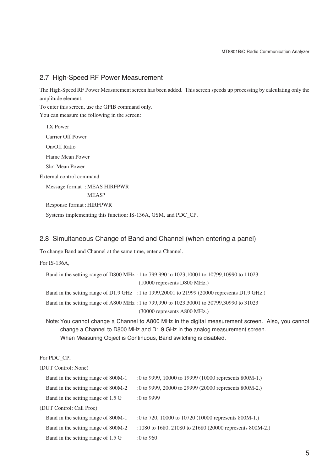## 2.7 High-Speed RF Power Measurement

The High-Speed RF Power Measurement screen has been added. This screen speeds up processing by calculating only the amplitude element.

To enter this screen, use the GPIB command only.

You can measure the following in the screen:

TX Power Carrier Off Power On/Off Ratio Flame Mean Power Slot Mean Power External control command Message format : MEAS HIRFPWR MEAS? Response format : HIRFPWR Systems implementing this function: IS-136A, GSM, and PDC\_CP.

## 2.8 Simultaneous Change of Band and Channel (when entering a panel)

To change Band and Channel at the same time, enter a Channel.

For IS-136A,

| Band in the setting range of D800 MHz: 1 to 799,990 to 1023,10001 to 10799,10990 to 11023      |
|------------------------------------------------------------------------------------------------|
| $(10000$ represents D800 MHz.)                                                                 |
| Band in the setting range of D1.9 GHz : 1 to 1999, 20001 to 21999 (20000 represents D1.9 GHz.) |
| Band in the setting range of A800 MHz: 1 to 799,990 to 1023,30001 to 30799,30990 to 31023      |
| $(30000$ represents A800 MHz.)                                                                 |
| Note: You cannot change a Channel to A800 MHz in the digital measurement screen. Also, y       |

, you cannot change a Channel to D800 MHz and D1.9 GHz in the analog measurement screen. When Measuring Object is Continuous, Band switching is disabled.

For PDC\_CP,

| (DUT Control: None)                 |                                                             |
|-------------------------------------|-------------------------------------------------------------|
| Band in the setting range of 800M-1 | $: 0$ to 9999, 10000 to 19999 (10000 represents 800M-1.)    |
| Band in the setting range of 800M-2 | $: 0$ to 9999, 20000 to 29999 (20000 represents 800M-2.)    |
| Band in the setting range of 1.5 G  | $: 0$ to 9999                                               |
| (DUT Control: Call Proc)            |                                                             |
| Band in the setting range of 800M-1 | $: 0$ to 720, 10000 to 10720 (10000 represents 800M-1.)     |
| Band in the setting range of 800M-2 | $: 1080$ to 1680, 21080 to 21680 (20000 represents 800M-2.) |
| Band in the setting range of 1.5 G  | $: 0$ to 960                                                |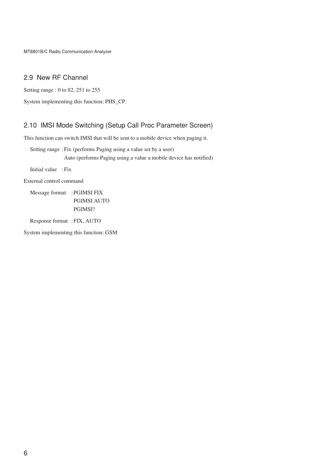# 2.9 New RF Channel

Setting range : 0 to 82, 251 to 255

System implementing this function: PHS\_CP.

# 2.10 IMSI Mode Switching (Setup Call Proc Parameter Screen)

This function can switch IMSI that will be sent to a mobile device when paging it.

Setting range :Fix (performs Paging using a value set by a user) Auto (performs Paging using a value a mobile device has notified)

Initial value :Fix

External control command

Message format :PGIMSI FIX PGIMSI AUTO PGIMSI?

Response format :FIX, AUTO

System implementing this function: GSM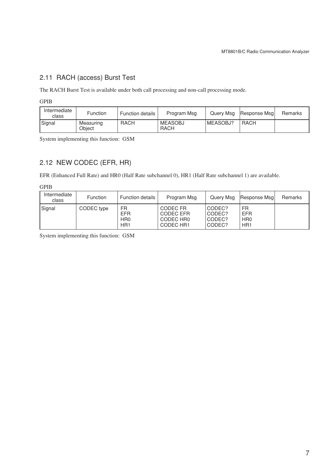# 2.11 RACH (access) Burst Test

The RACH Burst Test is available under both call processing and non-call processing mode.

GPIB

| Intermediate<br>class | Function            | <b>Function details</b> | Program Msg            | Query Msg | Response Msg | Remarks |
|-----------------------|---------------------|-------------------------|------------------------|-----------|--------------|---------|
| Signal                | Measuring<br>Obiect | <b>RACH</b>             | <b>MEASOBJ</b><br>RACH | MEASOBJ?  | RACH         |         |

System implementing this function: GSM

# 2.12 NEW CODEC (EFR, HR)

EFR (Enhanced Full Rate) and HR0 (Half Rate subchannel 0), HR1 (Half Rate subchannel 1) are available.

GPIB

| Intermediate<br>class | <b>Function</b> | <b>Function details</b>                                | Program Msg                                     | Query Msg                            | Response Msgl                                          | Remarks |
|-----------------------|-----------------|--------------------------------------------------------|-------------------------------------------------|--------------------------------------|--------------------------------------------------------|---------|
| Signal                | CODEC type      | FR<br><b>EFR</b><br>H <sub>R0</sub><br>HR <sub>1</sub> | CODEC FR<br>CODEC EFR<br>CODEC HRO<br>CODEC HR1 | CODEC?<br>CODEC?<br>CODEC?<br>CODEC? | FR<br><b>EFR</b><br>H <sub>R0</sub><br>HR <sub>1</sub> |         |

System implementing this function: GSM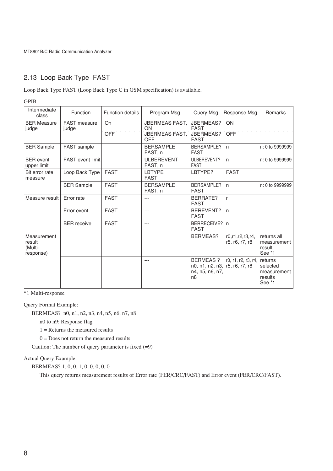# 2.13 Loop Back Type FAST

Loop Back Type FAST (Loop Back Type C in GSM specification) is available.

GPIB

| Intermediate<br>class                         | Function              | <b>Function details</b> | Program Msg                                          | Query Msg                                                               | Response Msg                          | Remarks                                                 |
|-----------------------------------------------|-----------------------|-------------------------|------------------------------------------------------|-------------------------------------------------------------------------|---------------------------------------|---------------------------------------------------------|
| <b>BER Measure</b><br>judge                   | FAST measure<br>judge | On<br><b>OFF</b>        | <b>JBERMEAS FAST,</b><br>ON<br>JBERMEAS FAST,<br>OFF | JBERMEAS?<br><b>FAST</b><br>JBERMEAS?<br><b>FAST</b>                    | ON<br><b>OFF</b>                      |                                                         |
| <b>BER Sample</b>                             | FAST sample           |                         | <b>BERSAMPLE</b><br>FAST, n                          | BERSAMPLE?<br><b>FAST</b>                                               | $\mathsf{n}$                          | n: 0 to 9999999                                         |
| <b>BER</b> event<br>upper limit               | FAST event limit      |                         | ULBEREVENT<br>FAST, n                                | ULBEREVENT?<br><b>FAST</b>                                              | n                                     | n: 0 to 9999999                                         |
| Bit error rate<br>measure                     | Loop Back Type        | <b>FAST</b>             | <b>LBTYPE</b><br><b>FAST</b>                         | LBTYPE?                                                                 | <b>FAST</b>                           |                                                         |
|                                               | <b>BER Sample</b>     | <b>FAST</b>             | <b>BERSAMPLE</b><br>FAST, n                          | BERSAMPLE?<br><b>FAST</b>                                               | $\mathsf{n}$                          | n: 0 to 9999999                                         |
| Measure result                                | Error rate            | <b>FAST</b>             | ---                                                  | BERRATE?<br><b>FAST</b>                                                 | r                                     |                                                         |
|                                               | Error event           | <b>FAST</b>             | $---$                                                | BEREVENT?<br><b>FAST</b>                                                | n                                     |                                                         |
|                                               | <b>BER</b> receive    | <b>FAST</b>             | $---$                                                | BERRECEIVE?<br><b>FAST</b>                                              | n                                     |                                                         |
| Measurement<br>result<br>(Multi-<br>response) |                       |                         |                                                      | <b>BERMEAS?</b>                                                         | r0.r1.r2.r3.r4.<br>r5, r6, r7, r8     | returns all<br>measurement<br>result<br>See *1          |
|                                               |                       |                         | $---$                                                | <b>BERMEAS ?</b><br>n0, n1, n2, n3<br>n4, n5, n6, n7,<br>n <sub>8</sub> | r0, r1, r2, r3, r4,<br>r5, r6, r7, r8 | returns<br>selected<br>measurement<br>results<br>See *1 |

\*1 Multi-response

Query Format Example:

BERMEAS? n0, n1, n2, n3, n4, n5, n6, n7, n8

n0 to n9: Response flag

 $1 =$ Returns the measured results

 $0 =$  Does not return the measured results

Caution: The number of query parameter is fixed  $(=9)$ 

Actual Query Example:

BERMEAS? 1, 0, 0, 1, 0, 0, 0, 0, 0

This query returns measurement results of Error rate (FER/CRC/FAST) and Error event (FER/CRC/FAST).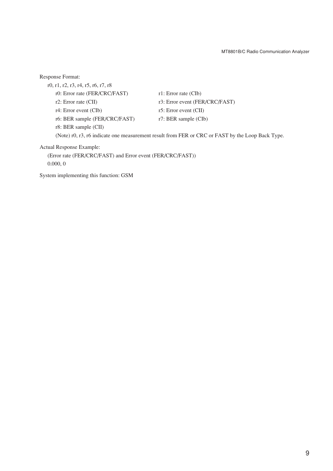| Response Format:                                                                                 |                                |  |  |  |
|--------------------------------------------------------------------------------------------------|--------------------------------|--|--|--|
| r0, r1, r2, r3, r4, r5, r6, r7, r8                                                               |                                |  |  |  |
| r0: Error rate (FER/CRC/FAST)                                                                    | $r1$ : Error rate (CIb)        |  |  |  |
| $r2$ : Error rate (CII)                                                                          | r3: Error event (FER/CRC/FAST) |  |  |  |
| $r4$ : Error event (CIb)                                                                         | r5: Error event $(CII)$        |  |  |  |
| r6: BER sample (FER/CRC/FAST)                                                                    | $r7$ : BER sample (CIb)        |  |  |  |
| $r8$ : BER sample $\left(CII\right)$                                                             |                                |  |  |  |
| (Note) r0, r3, r6 indicate one measurement result from FER or CRC or FAST by the Loop Back Type. |                                |  |  |  |
| Actual Response Example:                                                                         |                                |  |  |  |
| (Error rate (FER/CRC/FAST) and Error event (FER/CRC/FAST))                                       |                                |  |  |  |

0.000, 0

System implementing this function: GSM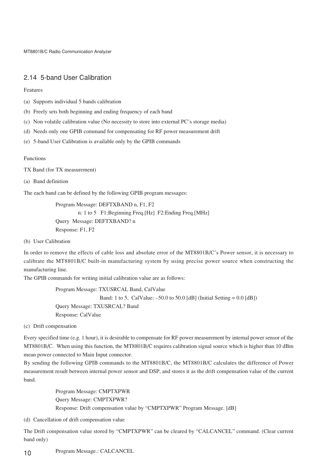## 2.14 5-band User Calibration

Features

- (a) Supports individual 5 bands calibration
- (b) Freely sets both beginning and ending frequency of each band
- (c) Non volatile calibration value (No necessity to store into external PC's storage media)
- (d) Needs only one GPIB command for compensating for RF power measurement drift
- (e) 5-band User Calibration is available only by the GPIB commands

#### Functions

TX Band (for TX measurement)

(a) Band definition

The each band can be defined by the following GPIB program messages:

Program Message: DEFTXBAND n, F1, F2 n: 1 to 5 F1:Beginning Freq.[Hz] F2:Ending Freq.[MHz] Query Message: DEFTXBAND? n Response: F1, F2

(b) User Calibration

In order to remove the effects of cable loss and absolute error of the MT8801B/C's Power sensor, it is necessary to calibrate the MT8801B/C built-in manufacturing system by using precise power source when constructing the manufacturing line.

The GPIB commands for writing initial calibration value are as follows:

```
Program Message: TXUSRCAL Band, CalValue
                 Band: 1 to 5, CalValue: -50.0 to 50.0 [dB] (Initial Setting = 0.0 [dB])
Query Message: TXUSRCAL? Band
Response: CalValue
```
(c) Drift compensation

Every specified time (e.g. 1 hour), it is desirable to compensate for RF power measurement by internal power sensor of the MT8801B/C. When using this function, the MT8801B/C requires calibration signal source which is higher than 10 dBm mean power connected to Main Input connector.

By sending the following GPIB commands to the MT8801B/C, the MT8801B/C calculates the difference of Power measurement result between internal power sensor and DSP, and stores it as the drift compensation value of the current band.

> Program Message: CMPTXPWR Query Message: CMPTXPWR? Response: Drift compensation value by "CMPTXPWR" Program Message. [dB]

(d) Cancellation of drift compensation value

The Drift compensation value stored by "CMPTXPWR" can be cleared by "CALCANCEL" command. (Clear current band only)

10 Program Message.: CALCANCEL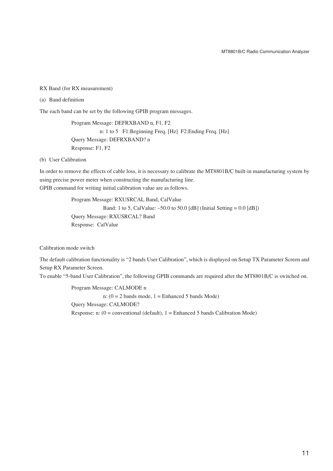#### RX Band (for RX measurement)

#### (a) Band definition

The each band can be set by the following GPIB program messages.

Program Message: DEFRXBAND n, F1, F2 n: 1 to 5 F1:Beginning Freq. [Hz] F2:Ending Freq. [Hz] Query Message: DEFRXBAND? n Response: F1, F2

#### (b) User Calibration

In order to remove the effects of cable loss, it is necessary to calibrate the MT8801B/C built-in manufacturing system by using precise power meter when constructing the manufacturing line. GPIB command for writing initial calibration value are as follows.

> Program Message: RXUSRCAL Band, CalValue Band: 1 to 5, CalValue:  $-50.0$  to 50.0 [dB] (Initial Setting = 0.0 [dB]) Query Message: RXUSRCAL? Band Response: CalValue

Calibration mode switch

The default calibration functionality is "2 bands User Calibration", which is displayed on Setup TX Parameter Screen and Setup RX Parameter Screen.

To enable "5-band User Calibration", the following GPIB commands are required after the MT8801B/C is switched on.

Program Message: CALMODE n n:  $(0 = 2$  bands mode,  $1 =$  Enhanced 5 bands Mode) Query Message: CALMODE? Response: n:  $(0 =$  conventional (default),  $1 =$  Enhanced 5 bands Calibration Mode)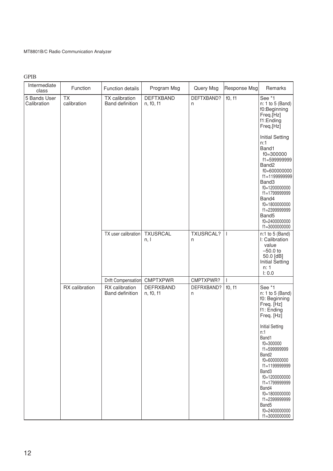GPIB

| Intermediate<br>class       | Function                 | Function details                         | Program Msg                   | Query Msg             | Response Msg | Remarks                                                                                                                                                                                                                                                                                                                                                         |
|-----------------------------|--------------------------|------------------------------------------|-------------------------------|-----------------------|--------------|-----------------------------------------------------------------------------------------------------------------------------------------------------------------------------------------------------------------------------------------------------------------------------------------------------------------------------------------------------------------|
| 5 Bands User<br>Calibration | <b>TX</b><br>calibration | TX calibration<br><b>Band definition</b> | <b>DEFTXBAND</b><br>n, f0, f1 | DEFTXBAND?<br>n       | f0, f1       | See *1<br>n: 1 to 5 (Band)<br>f0:Beginning<br>Freq.[Hz]<br>f1:Ending<br>Freq.[Hz]<br><b>Initial Setting</b><br>n:1<br>Band1<br>$f0 = 300000$<br>f1=599999999<br>Band <sub>2</sub><br>f0=600000000<br>f1=1199999999<br>Band3<br>f0=1200000000<br>f1=1799999999<br>Band4<br>f0=1800000000<br>f1=2399999999<br>Band <sub>5</sub><br>f0=2400000000<br>f1=3000000000 |
|                             |                          | TX user calibration                      | <b>TXUSRCAL</b><br>n, l       | <b>TXUSRCAL?</b><br>n | $\mathbf{I}$ | $n:1$ to 5 (Band)<br>I: Calibration<br>value<br>$-50.0$ to<br>50.0 [dB]<br><b>Initial Setting</b><br>n: 1<br>I: 0.0                                                                                                                                                                                                                                             |
|                             |                          | Drift Compensation                       | <b>CMPTXPWR</b>               | CMPTXPWR?             | L            |                                                                                                                                                                                                                                                                                                                                                                 |
|                             | RX calibration           | RX calibration<br><b>Band definition</b> | <b>DEFRXBAND</b><br>n, f0, f1 | DEFRXBAND?<br>n       | f0, f1       | See *1<br>n: 1 to 5 (Band)<br>f0: Beginning<br>Freq. [Hz]<br>f1: Ending<br>Freq. [Hz]                                                                                                                                                                                                                                                                           |
|                             |                          |                                          |                               |                       |              | <b>Initial Setting</b><br>n:1<br>Band1<br>f0=300000<br>f1=599999999<br>Band <sub>2</sub><br>f0=600000000<br>f1=1199999999<br>Band3<br>f0=1200000000<br>f1=1799999999<br>Band4<br>f0=1800000000<br>f1=2399999999<br>Band <sub>5</sub><br>f0=2400000000<br>f1=3000000000                                                                                          |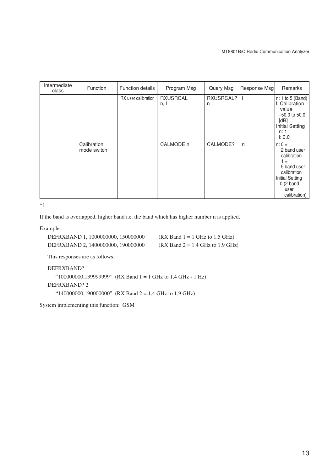| Intermediate<br>class | Function                   | <b>Function details</b> | Program Msg             | Query Msg      | Response Msg | Remarks                                                                                                                                    |
|-----------------------|----------------------------|-------------------------|-------------------------|----------------|--------------|--------------------------------------------------------------------------------------------------------------------------------------------|
|                       |                            | RX user calibration     | <b>RXUSRCAL</b><br>n, I | RXUSRCAL?<br>n |              | n: 1 to 5 (Band)<br>I: Calibration<br>value<br>$-50.0$ to 50.0<br>[dB]<br><b>Initial Setting</b><br>n: 1<br>1:0.0                          |
|                       | Calibration<br>mode switch |                         | CALMODE n               | CALMODE?       | $\mathsf{n}$ | $n: 0 =$<br>2 band user<br>calibration<br>1 =<br>5 band user<br>calibration<br><b>Initial Setting</b><br>0(2 band)<br>user<br>calibration) |

\*1

If the band is overlapped, higher band i.e. the band which has higher number n is applied.

Example:

| DEFRXBAND 1, 1000000000, 150000000 | $(RX Band 1 = 1 GHz to 1.5 GHz)$   |
|------------------------------------|------------------------------------|
| DEFRXBAND 2, 1400000000, 190000000 | $(RX Band 2 = 1.4 GHz to 1.9 GHz)$ |

This responses are as follows.

DEFRXBAND? 1 "100000000,139999999" (RX Band 1 = 1 GHz to 1.4 GHz - 1 Hz) DEFRXBAND? 2 "140000000,190000000" (RX Band 2 = 1.4 GHz to 1.9 GHz)

System implementing this function: GSM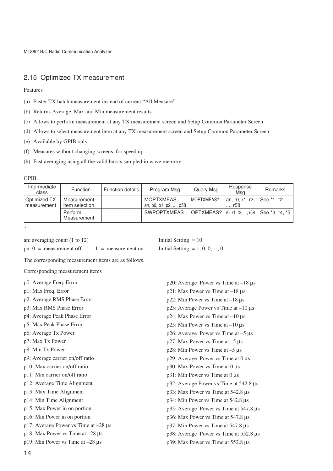# 2.15 Optimized TX measurement

Features

- (a) Faster TX batch measurement instead of current "All Measure"
- (b) Returns Average, Max and Min measurement results
- (c) Allows to perform measurement at any TX measurement screen and Setup Common Parameter Screen
- (d) Allows to select measurement item at any TX measurement screen and Setup Common Parameter Screen
- (e) Available by GPIB only
- (f) Measures without changing screens, for speed up
- (h) Fast averaging using all the valid bursts sampled in wave memory

#### GPIB

| Intermediate<br>class        | <b>Function</b>               | <b>Function details</b> | Program Msg                               | Query Msg  | Response<br>Msg           | Remarks                                        |
|------------------------------|-------------------------------|-------------------------|-------------------------------------------|------------|---------------------------|------------------------------------------------|
| Optimized TX<br>Imeasurement | Measurement<br>item selection |                         | <b>MOPTXMEAS</b><br>an, p0, p1, p2, , p58 | MOPTXMEAS? | an, r0, r1, r2,<br>…. r58 | See *1. *2                                     |
|                              | Perform<br>Measurement        |                         | <b>SWPOPTXMEAS</b>                        |            |                           | OPTXMEAS?   r0, r1, r2, , r58   See *3, *4, *5 |

\*1

| an: averaging count $(1 \text{ to } 12)$ |                    | Initial Setting $= 10$           |
|------------------------------------------|--------------------|----------------------------------|
| pn: $0 =$ measurement off                | $=$ measurement on | Initial Setting = $1, 0, 0, , 0$ |

Initial Setting  $= 10$ 

The corresponding measurement items are as follows.

Corresponding measurement items

| p0: Average Freq. Error<br>$p20$ : Average Power vs Time at $-18 \mu s$ |                                             |  |  |
|-------------------------------------------------------------------------|---------------------------------------------|--|--|
| p1: Max Freq. Error                                                     | $p21$ : Max Power vs Time at $-18 \mu s$    |  |  |
| p2: Average RMS Phase Error                                             | $p22$ : Min Power vs Time at $-18 \mu s$    |  |  |
| p3: Max RMS Phase Error                                                 | p23: Average Power vs Time at $-10 \mu s$   |  |  |
| p4: Average Peak Phase Error                                            | $p24$ : Max Power vs Time at $-10 \mu s$    |  |  |
| p5: Max Peak Phase Error                                                | $p25$ : Min Power vs Time at $-10 \mu s$    |  |  |
| p6: Average Tx Power                                                    | $p26$ : Average Power vs Time at $-5 \mu s$ |  |  |
| p7: Max Tx Power                                                        | $p27$ : Max Power vs Time at $-5 \mu s$     |  |  |
| p8: Min Tx Power                                                        | $p28$ : Min Power vs Time at $-5 \mu s$     |  |  |
| p9: Average carrier on/off ratio                                        | $p29$ : Average Power vs Time at 0 $\mu$ s  |  |  |
| p10: Max carrier on/off ratio                                           | $p30$ : Max Power vs Time at 0 µs           |  |  |
| p11: Min carrier on/off ratio                                           | $p31$ : Min Power vs Time at 0 $\mu$ s      |  |  |
| p12: Average Time Alignment                                             | p32: Average Power vs Time at 542.8 µs      |  |  |
| p13: Max Time Alignment                                                 | p33: Max Power vs Time at 542.8 µs          |  |  |
| p14: Min Time Alignment                                                 | p34: Min Power vs Time at 542.8 µs          |  |  |
| p15: Max Power in on portion                                            | p35: Average Power vs Time at 547.8 µs      |  |  |
| p16: Min Power in on portion                                            | p36: Max Power vs Time at 547.8 µs          |  |  |
| p17: Average Power vs Time at $-28 \mu s$                               | p37: Min Power vs Time at 547.8 µs          |  |  |
| p18: Max Power vs Time at $-28 \mu s$                                   | p38: Average Power vs Time at 552.8 µs      |  |  |
| p19: Min Power vs Time at $-28 \mu s$                                   | p39: Max Power vs Time at 552.8 µs          |  |  |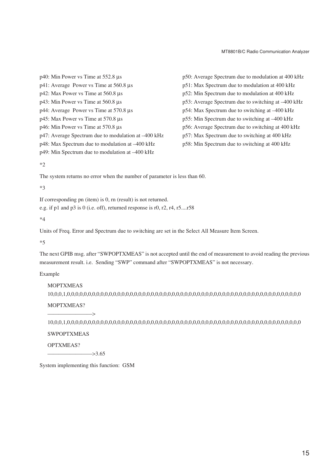p40: Min Power vs Time at 552.8 µs p41: Average Power vs Time at 560.8 µs p42: Max Power vs Time at 560.8 µs p43: Min Power vs Time at 560.8 µs p44: Average Power vs Time at 570.8 µs p45: Max Power vs Time at 570.8 µs p46: Min Power vs Time at 570.8 µs p47: Average Spectrum due to modulation at –400 kHz p48: Max Spectrum due to modulation at –400 kHz p49: Min Spectrum due to modulation at –400 kHz

p50: Average Spectrum due to modulation at 400 kHz p51: Max Spectrum due to modulation at 400 kHz p52: Min Spectrum due to modulation at 400 kHz p53: Average Spectrum due to switching at –400 kHz p54: Max Spectrum due to switching at –400 kHz p55: Min Spectrum due to switching at –400 kHz p56: Average Spectrum due to switching at 400 kHz p57: Max Spectrum due to switching at 400 kHz p58: Min Spectrum due to switching at 400 kHz

 $*2$ 

The system returns no error when the number of parameter is less than 60.

 $*3$ 

If corresponding pn (item) is 0, rn (result) is not returned.

e.g. if p1 and p3 is 0 (i.e. off), returned response is r0, r2, r4, r5....r58

 $*_{\Lambda}$ 

Units of Freq. Error and Spectrum due to switching are set in the Select All Measure Item Screen.

\*5

The next GPIB msg. after "SWPOPTXMEAS" is not accepted until the end of measurement to avoid reading the previous measurement result. i.e. Sending "SWP" command after "SWPOPTXMEAS" is not necessary.

Example

MOPTXMEAS 10,0,0,1,0,0,0,0,0,0,0,0,0,0,0,0,0,0,0,0,0,0,0,0,0,0,0,0,0,0,0,0,0,0,0,0,0,0,0,0,0,0,0,0,0,0,0,0,0,0,0,0,0,0,0,0,0,0,0,0

MOPTXMEAS?

10,0,0,1,0,0,0,0,0,0,0,0,0,0,0,0,0,0,0,0,0,0,0,0,0,0,0,0,0,0,0,0,0,0,0,0,0,0,0,0,0,0,0,0,0,0,0,0,0,0,0,0,0,0,0,0,0,0,0,0

**SWPOPTXMEAS** 

 $\longrightarrow$ 

OPTXMEAS?

 $\rightarrow$  3.65

System implementing this function: GSM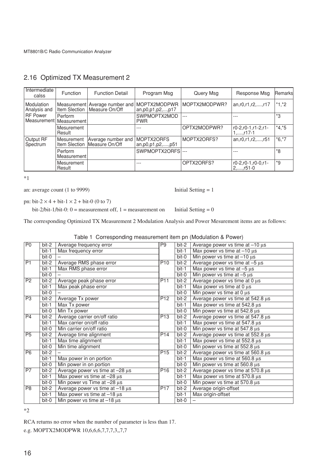| Intermediate<br>calss                        | <b>Function</b>             | <b>Function Detail</b>                                           | Program Msg                           | Query Msg     | Response Msg                                   | <b>Remarks</b> |
|----------------------------------------------|-----------------------------|------------------------------------------------------------------|---------------------------------------|---------------|------------------------------------------------|----------------|
| Modulation<br>Analysis and                   |                             | Measurement Average number and<br>Item Slection   Measure On/Off | MOPTX2MODPWR<br>an, p0, p1, p2, , p17 | MOPTX2MODPWR? | an, r0, r1, r2, , r17                          | $*1,*2$        |
| <b>RF</b> Power<br>Measurement   Measurement | Perform                     |                                                                  | SWPMOPTX2MOD<br><b>PWR</b>            | $---$         |                                                | *3             |
|                                              | Mesurement<br>Result        |                                                                  |                                       | OPTX2MODPWR?  | r0-2,r0-1,r1-2,r1-<br>$1, \ldots, r17-1$       | $*4, *5$       |
| Output RF<br>Spectrum                        | Mesurement<br>Item Slection | Average number and<br>Measure On/Off                             | MOPTX2ORFS<br>an, p0, p1, p2, , p51   | MOPTX2ORFS?   | an, r0, r1, r2, , r51                          | $*6,*7$        |
|                                              | Perform<br>Measurement      |                                                                  | SWPMOPTX2ORFS ---                     |               |                                                | *8             |
|                                              | Mesurement<br>Result        |                                                                  | ---                                   | OPTX2ORFS?    | $r0-2, r0-1, r0-0, r1-$<br>$2, \ldots$ , r51-0 | $*g$           |

# 2.16 Optimized TX Measurement 2

\*1

an: average count  $(1 to 9999)$  Initial Setting = 1

pn: bit-2  $\times$  4 + bit-1  $\times$  2 + bit-0 (0 to 7)

bit-2/bit-1/bit-0: 0 = measurement off, 1 = measurement on Initial Setting = 0

The corresponding Optimized TX Measurement 2 Modulation Analysis and Power Mesurement items are as follows:

| P <sub>0</sub>  | bit-2   | Average frequency error                | P9              | bit-2   | Average power vs time at $-10 \mu s$ |
|-----------------|---------|----------------------------------------|-----------------|---------|--------------------------------------|
|                 | bit-1   | Max frequency error                    |                 | bit-1   | Max power vs time at $-10 \mu s$     |
|                 | $bit-0$ |                                        |                 | bit-0   | Min power vs time at $-10 \mu s$     |
| $\overline{P1}$ | bit-2   | Average RMS phase error                | P <sub>10</sub> | bit-2   | Average power vs time at $-5 \mu s$  |
|                 | bit-1   | Max RMS phase error                    |                 | bit-1   | Max power vs time at $-5 \mu s$      |
|                 | $bit-0$ |                                        |                 | bit-0   | Min power vs time at $-5 \mu s$      |
| P2              | bit-2   | Average peak phase error               | P <sub>11</sub> | bit-2   | Average power vs time at 0 µs        |
|                 | bit-1   | Max peak phase error                   |                 | bit-1   | Max power vs time at 0 µs            |
|                 | bit-0   |                                        |                 | bit-0   | Min power vs time at 0 µs            |
| P <sub>3</sub>  | bit-2   | Average Tx power                       | P <sub>12</sub> | bit-2   | Average power vs time at 542.8 µs    |
|                 | $bit-1$ | Max Tx power                           |                 | bit-1   | Max power vs time at 542.8 µs        |
|                 | bit-0   | Min Tx power                           |                 | bit-0   | Min power vs time at 542.8 µs        |
| P4              | bit-2   | Average carrier on/off ratio           | P <sub>13</sub> | bit-2   | Average power vs time at 547.8 µs    |
|                 | bit-1   | Max carrier on/off ratio               |                 | bit-1   | Max power vs time at 547.8 µs        |
|                 | bit-0   | Min carrier on/off ratio               |                 | bit-0   | Min power vs time at 547.8 µs        |
| P5              | bit-2   | Average time alignment                 | P <sub>14</sub> | bit-2   | Average power vs time at 552.8 µs    |
|                 | $bit-1$ | Max time alignment                     |                 | $bit-1$ | Max power vs time at 552.8 µs        |
|                 | bit-0   | Min time alignment                     |                 | bit-0   | Min power vs time at 552.8 µs        |
| P <sub>6</sub>  | bit-2   |                                        | P <sub>15</sub> | bit-2   | Average power vs time at 560.8 µs    |
|                 | $bit-1$ | Max power in on portion                |                 | bit-1   | Max power vs time at 560.8 µs        |
|                 | $bit-0$ | Min power in on portion                |                 | bit-0   | Min power vs time at 560.8 µs        |
| P7              | bit-2   | Average power vs time at $-28 \mu s$   | P <sub>16</sub> | bit-2   | Average power vs time at 570.8 µs    |
|                 | $bit-1$ | Max power vs time at $-28 \mu s$       |                 | bit-1   | Max power vs time at 570.8 µs        |
|                 | bit-0   | Min power vs Time at $-28 \mu s$       |                 | bit-0   | Min power vs time at 570.8 µs        |
| P <sub>8</sub>  | bit-2   | Average power vs time at $-18 \,\mu s$ | P <sub>17</sub> | bit-2   | Average origin-offset                |
|                 | bit-1   | Max power vs time at $-18 \mu s$       |                 | bit-1   | Max origin-offset                    |
|                 | bit-0   | Min power vs time at $-18 \mu s$       |                 | bit-0   |                                      |

\*2

RCA returns no error when the number of parameter is less than 17.

e.g. MOPTX2MODPWR 10,6,6,6,7,7,7,3,,7,7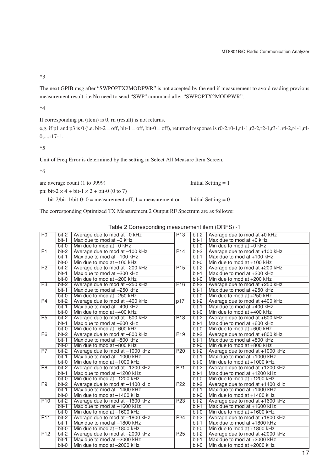\*3

The next GPIB msg after "SWPOPTX2MODPWR" is not accepted by the end if measurement to avoid reading previous measurement result. i.e.No need to send "SWP" command after "SWPOPTX2MODPWR".

\*4

If corresponding pn (item) is 0, rn (result) is not returns.

e.g. if p1 and p3 is 0 (i.e. bit-2 = off, bit-1 = off, bit-0 = off), returned response is r0-2,r0-1,r1-1,r2-2,r2-1,r3-1,r4-2,r4-1,r4- $0,...,r17-1.$ 

\*5

Unit of Freq Error is determined by the setting in Select All Measure Item Screen.

\*6

an: average count  $(1 to 9999)$  Initial Setting = 1

pn: bit- $2 \times 4 + \text{bit-1} \times 2 + \text{bit-0}$  (0 to 7)

bit-2/bit-1/bit-0: 0 = measurement off, 1 = measurement on Initial Setting = 0

The corresponding Optimized TX Measurement 2 Output RF Spectrum are as follows:

|                 |         | $\frac{1}{2}$ and $\frac{1}{2}$ are an extending interesting the theory $\frac{1}{2}$ and $\frac{1}{2}$ |                 |         |                                 |
|-----------------|---------|---------------------------------------------------------------------------------------------------------|-----------------|---------|---------------------------------|
| P0              | bit-2   | Average due to mod at -0 kHz                                                                            | P13             | bit-2   | Average due to mod at +0 kHz    |
|                 | $bit-1$ | Max due to mod at -0 kHz                                                                                |                 | $bit-1$ | Max due to mod at $+0$ kHz      |
|                 | $bit-0$ | Min due to mod at -0 kHz                                                                                |                 | bit-0   | Min due to mod at $+0$ kHz      |
| P1              | $bit-2$ | Average due to mod at -100 kHz                                                                          | P14             | $bit-2$ | Average due to mod at +100 kHz  |
|                 | $bit-1$ | Max due to mod at -100 kHz                                                                              |                 | $bit-1$ | Max due to mod at $+100$ kHz    |
|                 | $bit-0$ | Min due to mod at $-100$ kHz                                                                            |                 | $bit-0$ | Min due to mod at +100 kHz      |
| P <sub>2</sub>  | $bit-2$ | Average due to mod at -200 kHz                                                                          | P <sub>15</sub> | $bit-2$ | Average due to mod at +200 kHz  |
|                 | $bit-1$ | Max due to mod at -200 kHz                                                                              |                 | $bit-1$ | Max due to mod at +200 kHz      |
|                 | bit-0   | Min due to mod at -200 kHz                                                                              |                 | bit-0   | Min due to mod at +200 kHz      |
| P3              | $bit-2$ | Average due to mod at -250 kHz                                                                          | P <sub>16</sub> | bit-2   | Average due to mod at +250 kHz  |
|                 | $bit-1$ | Max due to mod at -250 kHz                                                                              |                 | $bit-1$ | Max due to mod at +250 kHz      |
|                 | bit-0   | Min due to mod at -250 kHz                                                                              |                 | $bit-0$ | Min due to mod at +250 kHz      |
| P <sub>4</sub>  | bit-2   | Average due to mod at -400 kHz                                                                          | p17             | bit-2   | Average due to mod at +400 kHz  |
|                 | $bit-1$ | Max due to mod at -400 kHz                                                                              |                 | $bit-1$ | Max due to mod at +400 kHz      |
|                 | $bit-0$ | Min due to mod at -400 kHz                                                                              |                 | bit-0   | Min due to mod at +400 kHz      |
| P5              | $bit-2$ | Average due to mod at -600 kHz                                                                          | P <sub>18</sub> | $bit-2$ | Average due to mod at +600 kHz  |
|                 | $bit-1$ | Max due to mod at -600 kHz                                                                              |                 | $bit-1$ | Max due to mod at +600 kHz      |
|                 | $bit-0$ | Min due to mod at -600 kHz                                                                              |                 | bit-0   | Min due to mod at +600 kHz      |
| P6              | $bit-2$ | Average due to mod at -800 kHz                                                                          | P <sub>19</sub> | $bit-2$ | Average due to mod at +800 kHz  |
|                 | $bit-1$ | Max due to mod at -800 kHz                                                                              |                 | $bit-1$ | Max due to mod at +800 kHz      |
|                 | $bit-0$ | Min due to mod at -800 kHz                                                                              |                 | $bit-0$ | Min due to mod at +800 kHz      |
| $\overline{P7}$ | $bit-2$ | Average due to mod at -1000 kHz                                                                         | P <sub>20</sub> | $bit-2$ | Average due to mod at +1000 kHz |
|                 | $bit-1$ | Max due to mod at -1000 kHz                                                                             |                 | $bit-1$ | Max due to mod at $+1000$ kHz   |
|                 | $bit-0$ | Min due to mod at -1000 kHz                                                                             |                 | bit-0   | Min due to mod at $+1000$ kHz   |
| P8              | $bit-2$ | Average due to mod at -1200 kHz                                                                         | P <sub>21</sub> | bit-2   | Average due to mod at +1200 kHz |
|                 | $bit-1$ | Max due to mod at -1200 kHz                                                                             |                 | $bit-1$ | Max due to mod at +1200 kHz     |
|                 | bit-0   | Min due to mod at -1200 kHz                                                                             |                 | bit-0   | Min due to mod at +1200 kHz     |
| P <sub>9</sub>  | $bit-2$ | Average due to mod at -1400 kHz                                                                         | <b>P22</b>      | $bit-2$ | Average due to mod at +1400 kHz |
|                 | $bit-1$ | Max due to mod at -1400 kHz                                                                             |                 | $bit-1$ | Max due to mod at $+1400$ kHz   |
|                 | bit-0   | Min due to mod at -1400 kHz                                                                             |                 | bit-0   | Min due to mod at +1400 kHz     |
| <b>P10</b>      | $bit-2$ | Average due to mod at -1600 kHz                                                                         | P <sub>23</sub> | $bit-2$ | Average due to mod at +1600 kHz |
|                 | $bit-1$ | Max due to mod at -1600 kHz                                                                             |                 | $bit-1$ | Max due to mod at +1600 kHz     |
|                 | $bit-0$ | Min due to mod at -1600 kHz                                                                             |                 | $bit-0$ | Min due to mod at +1600 kHz     |
| <b>P11</b>      | $bit-2$ | Average due to mod at -1800 kHz                                                                         | P <sub>24</sub> | $bit-2$ | Average due to mod at +1800 kHz |
|                 | bit-1   | Max due to mod at -1800 kHz                                                                             |                 | $bit-1$ | Max due to mod at +1800 kHz     |
|                 | $bit-0$ | Min due to mod at -1800 kHz                                                                             |                 | $bit-0$ | Min due to mod at +1800 kHz     |
| P <sub>12</sub> | bit-2   | Average due to mod at -2000 kHz                                                                         | P <sub>25</sub> | bit-2   | Average due to mod at +2000 kHz |
|                 | bit-1   | Max due to mod at -2000 kHz                                                                             |                 | $bit-1$ | Max due to mod at +2000 kHz     |
|                 | $bit-0$ | Min due to mod at -2000 kHz                                                                             |                 | $bit-0$ | Min due to mod at +2000 kHz     |

Table 2 Corresponding measurement item (ORFS) -1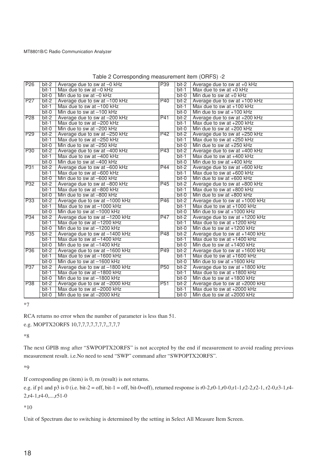| P <sub>26</sub> | bit-2   | Average due to sw at -0 kHz    | P39             | bit-2   | Average due to sw at +0 kHz    |
|-----------------|---------|--------------------------------|-----------------|---------|--------------------------------|
|                 | $bit-1$ | Max due to sw at -0 kHz        |                 | $bit-1$ | Max due to sw at $+0$ kHz      |
|                 | $bit-0$ | Min due to sw at $-0$ kHz      |                 | bit-0   | Min due to sw at $+0$ kHz      |
| P <sub>27</sub> | $bit-2$ | Average due to sw at -100 kHz  | P40             | $bit-2$ | Average due to sw at +100 kHz  |
|                 | $bit-1$ | Max due to sw at -100 kHz      |                 | $bit-1$ | Max due to sw at +100 kHz      |
|                 | bit-0   | Min due to sw at $-100$ kHz    |                 | bit-0   | Min due to sw at $+100$ kHz    |
| <b>P28</b>      | $bit-2$ | Average due to sw at -200 kHz  | P41             | $bit-2$ | Average due to sw at +200 kHz  |
|                 | $bit-1$ | Max due to sw at -200 kHz      |                 | $bit-1$ | Max due to sw at +200 kHz      |
|                 | $bit-0$ | Min due to sw at -200 kHz      |                 | $bit-0$ | Min due to sw at $+200$ kHz    |
| P <sub>29</sub> | $bit-2$ | Average due to sw at -250 kHz  | <b>P42</b>      | $bit-2$ | Average due to sw at +250 kHz  |
|                 | $bit-1$ | Max due to sw at -250 kHz      |                 | $bit-1$ | Max due to sw at +250 kHz      |
|                 | $bit-0$ | Min due to sw at -250 kHz      |                 | $bit-0$ | Min due to sw at +250 kHz      |
| <b>P30</b>      | $bit-2$ | Average due to sw at -400 kHz  | P43             | bit-2   | Average due to sw at +400 kHz  |
|                 | $bit-1$ | Max due to sw at -400 kHz      |                 | $bit-1$ | Max due to sw at +400 kHz      |
|                 | $bit-0$ | Min due to sw at -400 kHz      |                 | bit-0   | Min due to sw at $+400$ kHz    |
| P <sub>31</sub> | $bit-2$ | Average due to sw at -600 kHz  | P44             | bit-2   | Average due to sw at +600 kHz  |
|                 | $bit-1$ | Max due to sw at -600 kHz      |                 | $bit-1$ | Max due to sw at +600 kHz      |
|                 | $bit-0$ | Min due to sw at -600 kHz      |                 | $bit-0$ | Min due to sw at $+600$ kHz    |
| P32             | $bit-2$ | Average due to sw at -800 kHz  | P45             | $bit-2$ | Average due to sw at +800 kHz  |
|                 | $bit-1$ | Max due to sw at -800 kHz      |                 | $bit-1$ | Max due to sw at +800 kHz      |
|                 | $bit-0$ | Min due to sw at -800 kHz      |                 | bit-0   | Min due to sw at +800 kHz      |
| <b>P33</b>      | $bit-2$ | Average due to sw at -1000 kHz | P46             | $bit-2$ | Average due to sw at +1000 kHz |
|                 | $bit-1$ | Max due to sw at -1000 kHz     |                 | $bit-1$ | Max due to sw at +1000 kHz     |
|                 | bit-0   | Min due to sw at -1000 kHz     |                 | bit-0   | Min due to sw at $+1000$ kHz   |
| <b>P34</b>      | $bit-2$ | Average due to sw at -1200 kHz | P47             | $bit-2$ | Average due to sw at +1200 kHz |
|                 | $bit-1$ | Max due to sw at -1200 kHz     |                 | $bit-1$ | Max due to sw at +1200 kHz     |
|                 | bit-0   | Min due to sw at -1200 kHz     |                 | bit-0   | Min due to sw at +1200 kHz     |
| <b>P35</b>      | $bit-2$ | Average due to sw at -1400 kHz | <b>P48</b>      | bit-2   | Average due to sw at +1400 kHz |
|                 | $bit-1$ | Max due to sw at -1400 kHz     |                 | $bit-1$ | Max due to sw at $+1400$ kHz   |
|                 | $bit-0$ | Min due to sw at -1400 kHz     |                 | bit-0   | Min due to sw at $+1400$ kHz   |
| <b>P36</b>      | bit-2   | Average due to sw at -1600 kHz | P49             | bit-2   | Average due to sw at +1600 kHz |
|                 | $bit-1$ | Max due to sw at -1600 kHz     |                 | $bit-1$ | Max due to sw at $+1600$ kHz   |
|                 | bit-0   | Min due to sw at -1600 kHz     |                 | bit-0   | Min due to sw at $+1600$ kHz   |
| <b>P37</b>      | bit-2   | Average due to sw at -1800 kHz | <b>P50</b>      | $bit-2$ | Average due to sw at +1800 kHz |
|                 | bit-1   | Max due to sw at -1800 kHz     |                 | $bit-1$ | Max due to sw at $+1800$ kHz   |
|                 | $bit-0$ | Min due to sw at -1800 kHz     |                 | bit-0   | Min due to sw at +1800 kHz     |
| <b>P38</b>      | $bit-2$ | Average due to sw at -2000 kHz | P <sub>51</sub> | $bit-2$ | Average due to sw at +2000 kHz |
|                 | $bit-1$ | Max due to sw at -2000 kHz     |                 | $bit-1$ | Max due to sw at $+2000$ kHz   |
|                 | $bit-0$ | Min due to sw at -2000 kHz     |                 | $bit-0$ | Min due to sw at $+2000$ kHz   |

Table 2 Corresponding measurement item (ORFS) -2

\*7

RCA returns no error when the number of parameter is less than 51.

e.g. MOPTX2ORFS 10,7,7,7,7,7,7,7,7,7,7,7

\*8

The next GPIB msg after "SWPOPTX2ORFS" is not accepted by the end if measurement to avoid reading previous measurement result. i.e.No need to send "SWP" command after "SWPOPTX2ORFS".

\*9

If corresponding pn (item) is 0, rn (result) is not returns.

e.g. if p1 and p3 is 0 (i.e. bit-2 = off, bit-1 = off, bit-0=off), returned response is r0-2,r0-1,r0-0,r1-1,r2-2,r2-1, r2-0,r3-1,r4- 2,r4-1,r4-0,...,r51-0

\*10

Unit of Spectrum due to switching is determined by the setting in Select All Measure Item Screen.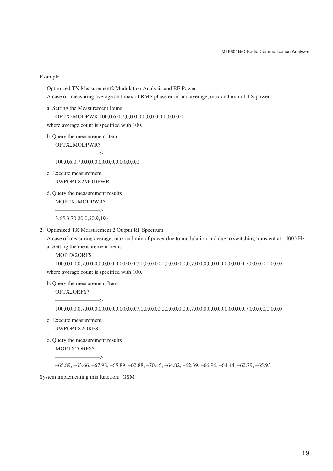#### Example

1. Optimized TX Measurement2 Modulation Analysis and RF Power

A case of measuring average and max of RMS phase error and average, max and min of TX power.

a. Setting the Measurement Items OPTX2MODPWR 100,0,6,0,7,0,0,0,0,0,0,0,0,0,0,0,0,0,0

where average count is specified with 100.

b. Query the measurement item OPTX2MODPWR?

————————>

100,0,6,0,7,0,0,0,0,0,0,0,0,0,0,0,0,0,0

- c. Execute measurement SWPOPTX2MODPWR
- d. Query the measurement results MOPTX2MODPWR?

————————> 3.65,3.70,20.0,20.9,19.4

2. Optimized TX Measurement 2 Output RF Spectrum

A case of measuring average, max and min of power due to modulation and due to switching transient at ±400 kHz.

a. Setting the measurement Items

MOPTX2ORFS

100,0,0,0,0,7,0,0,0,0,0,0,0,0,0,0,0,0,7,0,0,0,0,0,0,0,0,0,0,0,0,7,0,0,0,0,0,0,0,0,0,0,0,0,7,0,0,0,0,0,0,0,0 where average count is specified with 100.

b. Query the measurement Items

OPTX2ORFS?  $\longrightarrow$ 

100,0,0,0,0,7,0,0,0,0,0,0,0,0,0,0,0,0,7,0,0,0,0,0,0,0,0,0,0,0,0,7,0,0,0,0,0,0,0,0,0,0,0,0,7,0,0,0,0,0,0,0,0

- c. Execute measurement SWPOPTX2ORFS
- d. Query the measurement results MOPTX2ORFS?

–65.89, –63.66, –67.98, –65.89, –62.88, –70.45, –64.82, –62.39, –66.96, –64.44, –62.79, –65.93

System implementing this function: GSM

 $\overline{\phantom{a}}$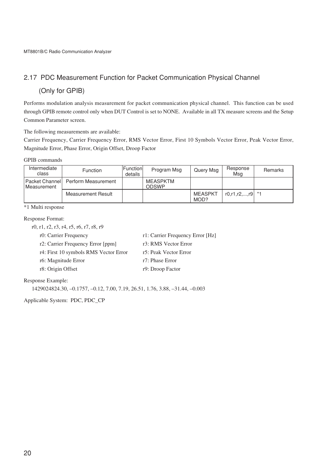## 2.17 PDC Measurement Function for Packet Communication Physical Channel

# (Only for GPIB)

Performs modulation analysis measurement for packet communication physical channel. This function can be used through GPIB remote control only when DUT Control is set to NONE. Available in all TX measure screens and the Setup Common Parameter screen.

The following measurements are available:

Carrier Frequency, Carrier Frequency Error, RMS Vector Error, First 10 Symbols Vector Error, Peak Vector Error, Magnitude Error, Phase Error, Origin Offset, Droop Factor

#### GPIB commands

| Intermediate<br>class                    | <b>Function</b>     | <b>Functionl</b><br>details | Program Msg              | Query Msg              | Response<br>Msa          | Remarks |
|------------------------------------------|---------------------|-----------------------------|--------------------------|------------------------|--------------------------|---------|
| <b>I Packet Channel</b><br>I Measurement | Perform Measurement |                             | MEASPKTM<br><b>ODSWP</b> |                        |                          |         |
|                                          | Measurement Result  |                             |                          | <b>MEASPKT</b><br>MOD? | $r0, r1, r2, \ldots, r9$ | $* - 1$ |

\*1 Multi response

#### Response Format:

r0, r1, r2, r3, r4, r5, r6, r7, r8, r9

r0: Carrier Frequency r1: Carrier Frequency Error [Hz]

- r2: Carrier Frequency Error [ppm] r3: RMS Vector Error
- r4: First 10 symbols RMS Vector Error r5: Peak Vector Error
- r6: Magnitude Error r7: Phase Error
- r8: Origin Offset r9: Droop Factor

## Response Example:

1429024824.30, –0.1757, –0.12, 7.00, 7.19, 26.51, 1.76, 3.88, –31.44, –0.003

Applicable System: PDC, PDC\_CP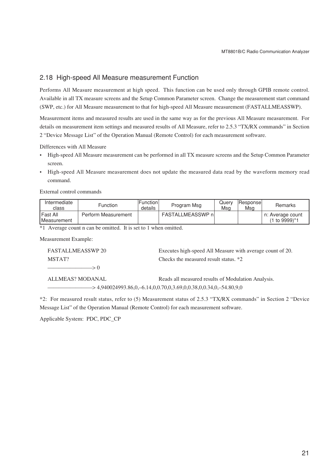## 2.18 High-speed All Measure measurement Function

Performs All Measure measurement at high speed. This function can be used only through GPIB remote control. Available in all TX measure screens and the Setup Common Parameter screen. Change the measurement start command (SWP, etc.) for All Measure measurement to that for high-speed All Measure measurement (FASTALLMEASSWP).

Measurement items and measured results are used in the same way as for the previous All Measure measurement. For details on measurement item settings and measured results of All Measure, refer to 2.5.3 "TX/RX commands" in Section 2 "Device Message List" of the Operation Manual (Remote Control) for each measurement software.

Differences with All Measure

- High-speed All Measure measurement can be performed in all TX measure screens and the Setup Common Parameter screen.
- High-speed All Measure measurement does not update the measured data read by the waveform memory read command.

External control commands

| Intermediate<br>class              | Function            | lFunction l<br>details | Program Msg              | Querv<br>Msa | Responsel<br>Msq | Remarks                           |
|------------------------------------|---------------------|------------------------|--------------------------|--------------|------------------|-----------------------------------|
| l Fast All<br><b>I</b> Measurement | Perform Measurement |                        | <b>FASTALLMEASSWP</b> nl |              |                  | n: Average count<br>(1 to 9999)*1 |

\*1 Average count n can be omitted. It is set to 1 when omitted.

Measurement Example:

| FASTALLMEASSWP 20                                                                                                                                                                                                                                                   | Executes high-speed All Measure with average count of 20. |
|---------------------------------------------------------------------------------------------------------------------------------------------------------------------------------------------------------------------------------------------------------------------|-----------------------------------------------------------|
| MSTAT?                                                                                                                                                                                                                                                              | Checks the measured result status. *2                     |
| $\sim$ 0.000 $\sim$ 0.000 $\sim$ 0.000 $\sim$ 0.000 $\sim$ 0.000 $\sim$ 0.000 $\sim$ 0.000 $\sim$ 0.000 $\sim$ 0.000 $\sim$ 0.000 $\sim$ 0.000 $\sim$ 0.000 $\sim$ 0.000 $\sim$ 0.000 $\sim$ 0.000 $\sim$ 0.000 $\sim$ 0.000 $\sim$ 0.000 $\sim$ 0.000 $\sim$ 0.000 |                                                           |
|                                                                                                                                                                                                                                                                     |                                                           |

ALLMEAS? MODANAL Reads all measured results of Modulation Analysis.  $\rightarrow$  4,940024993.86,0, -6.14,0,0.70,0,3.69,0,0.38,0,0.34,0, -54.80,9,0

\*2: For measured result status, refer to (5) Measurement status of 2.5.3 "TX/RX commands" in Section 2 "Device Message List" of the Operation Manual (Remote Control) for each measurement software.

Applicable System: PDC, PDC\_CP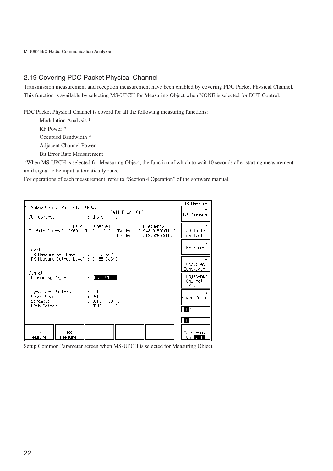## 2.19 Covering PDC Packet Physical Channel

Transmission measurement and reception measurement have been enabled by covering PDC Packet Physical Channel. This function is available by selecting MS-UPCH for Measuring Object when NONE is selected for DUT Control.

PDC Packet Physical Channel is coverd for all the following measuring functions:

Modulation Analysis \*

RF Power \*

Occupied Bandwidth \*

Adjacent Channel Power

Bit Error Rate Measurement

\*When MS-UPCH is selected for Measuring Object, the function of which to wait 10 seconds after starting measurement until signal to be input automatically runs.

For operations of each measurement, refer to "Section 4 Operation" of the software manual.



Setup Common Parameter screen when MS-UPCH is selected for Measuring Object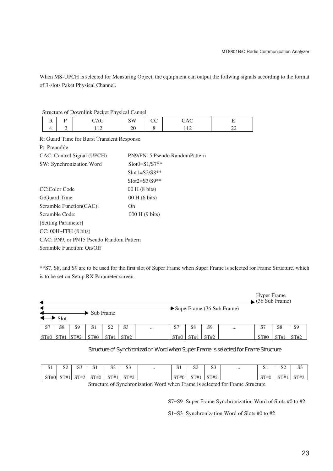When MS-UPCH is selected for Measuring Object, the equipment can output the follwing signals according to the format of 3-slots Paket Physical Channel.

Structure of Downlink Packet Physical Cannel

| $\sigma$ of $\sigma$ of $\sigma$ of $\sigma$ is the state of $\sigma$ is the state of $\sigma$ |  |  |                  |  |  |  |  |  |
|------------------------------------------------------------------------------------------------|--|--|------------------|--|--|--|--|--|
|                                                                                                |  |  | $\sim$<br>$\sim$ |  |  |  |  |  |
|                                                                                                |  |  |                  |  |  |  |  |  |

R: Guard Time for Burst Transient Response

P: Preamble

| CAC: Control Signal (UPCH)                | PN9/PN15 Pseudo RandomPattern |
|-------------------------------------------|-------------------------------|
| SW: Synchronization Word                  | $Slot0 = S1/S7**$             |
|                                           | $Slot1 = S2/S8**$             |
|                                           | $Slot2 = S3/S9**$             |
| CC:Color Code                             | 00 H (8 bits)                 |
| G:Guard Time                              | $00H(6 \text{ bits})$         |
| Scramble Function(CAC):                   | On.                           |
| Scramble Code:                            | 000 H (9 bits)                |
| [Setting Parameter]                       |                               |
| $CC: 00H \rightarrow FFH(8 \text{ bits})$ |                               |
| CAC: PN9, or PN15 Pseudo Random Pattern   |                               |
| Scramble Function: On/Off                 |                               |

\*\*S7, S8, and S9 are to be used for the first slot of Super Frame when Super Frame is selected for Frame Structure, which is to be set on Setup RX Parameter screen.

|      |      |                |                                 |                |                |          |      |                |                |                                         | <b>Hyper Frame</b><br>$\rightarrow$ (36 Sub Frame) |                |                |
|------|------|----------------|---------------------------------|----------------|----------------|----------|------|----------------|----------------|-----------------------------------------|----------------------------------------------------|----------------|----------------|
|      | Slot |                | $\blacktriangleright$ Sub Frame |                |                |          |      |                |                | $\rightarrow$ SuperFrame (36 Sub Frame) |                                                    |                |                |
| S7   | S8   | S <sub>9</sub> | S <sub>1</sub>                  | S <sub>2</sub> | S <sub>3</sub> | $\cdots$ | S7   | S <sub>8</sub> | S <sub>9</sub> |                                         | -S7                                                | S <sub>8</sub> | S <sub>9</sub> |
| ST#0 | ST#1 | ST#2           | ST#0                            | ST#1           | ST#2           |          | ST#C | $_{\rm STT}$   | ST#2           |                                         | ST#C                                               | ST#            | ST#2           |

## Structure of Synchronization Word when Super Frame is selected for Frame Structure

| $\sim$ $\sim$<br>ນ⊥ | $\cap$<br>◡ | $\sim$<br>ນ.     | ິ                | $\sim$<br>ື້ | $\Omega$<br>ນມ | $\cdots$ | -<br>ິ    | $\sim$<br>ື້ | $\Omega$<br>ນ. | <br>ັ                | $\Omega$<br>◡ | $\cap$<br>ີ |
|---------------------|-------------|------------------|------------------|--------------|----------------|----------|-----------|--------------|----------------|----------------------|---------------|-------------|
| QTHO                | ST#1        | CTH <sub>2</sub> | CTH <sub>0</sub> | $\sqrt{7}$   | CTH2           |          | ST#0<br>ື |              | CTL1           | $\alpha$ Tu $\alpha$ | ST#           | $CTT+T$     |

Structure of Synchronization Word when Frame is selected for Frame Structure

S7~S9 :Super Frame Synchronization Word of Slots #0 to #2

S1~S3 :Synchronization Word of Slots #0 to #2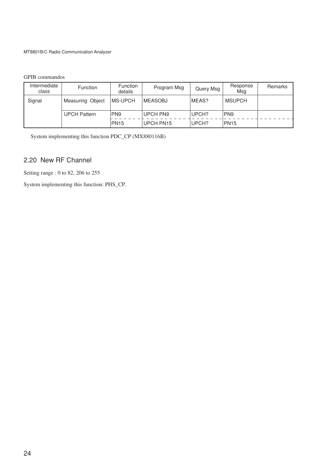## GPIB commandos

| Intermediate<br>class | <b>Function</b>     | <b>Function</b><br>details | Program Msg     | Query Msg | Response<br>Msg | Remarks |
|-----------------------|---------------------|----------------------------|-----------------|-----------|-----------------|---------|
| Signal                | Measuring Object    | IMS-UPCH                   | <b>IMEASOBJ</b> | MEAS?     | <b>MSUPCH</b>   |         |
|                       | <b>UPCH Pattern</b> | PN <sub>9</sub>            | <b>UPCH PN9</b> | UPCH?     | PN9             |         |
|                       |                     | <b>PN15</b>                | UPCH PN15       | UPCH?     | <b>PN15</b>     |         |

System implementing this function PDC\_CP (MX880116B)

# 2.20 New RF Channel

Setting range : 0 to 82, 206 to 255

System implementing this function: PHS\_CP.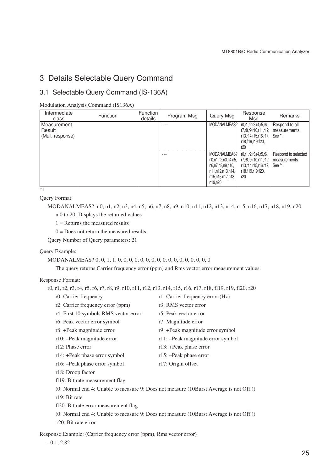# 3 Details Selectable Query Command

## 3.1 Selectable Query Command (IS-136A)

Modulation Analysis Command (IS136A)

| Intermediate<br>class                     | <b>Function</b> | Function<br>details | Program Msg | Query Msg                                                                                                 | Response<br>Msa                                                                                     | Remarks                                       |
|-------------------------------------------|-----------------|---------------------|-------------|-----------------------------------------------------------------------------------------------------------|-----------------------------------------------------------------------------------------------------|-----------------------------------------------|
| Measurement<br>Result<br>(Multi-response) |                 |                     |             | MODANALMEAS?                                                                                              | r0,r1,r2,r3,r4,r5,r6,<br>r7,r8,r9,r10,r11,r12,<br>r13.r14.r15.r16.r17.<br>r18.fl19.r19.fl20.<br>r20 | Respond to all<br>measurements<br>See *1      |
|                                           |                 |                     | ---         | MODANALMEAS?<br>n0,n1,n2,n3,n4,n5,<br>n6.n7.n8.n9.n10.<br>n11,n12,n13,n14,<br>n15,n16,n17,n18,<br>n19,n20 | r0,r1,r2,r3,r4,r5,r6,<br>r7,r8,r9,r10,r11,r12,<br>r13.r14.r15.r16.r17.<br>r18,fl19,r19,fl20,<br>r20 | Respond to selected<br>measurements<br>See *1 |

 $\overline{\ast_1}$ 

Query Format:

MODANALMEAS? n0, n1, n2, n3, n4, n5, n6, n7, n8, n9, n10, n11, n12, n13, n14, n15, n16, n17, n18, n19, n20

n 0 to 20: Displays the returned values

1 = Returns the measured results

 $0 = Does not return the measured results$ 

Query Number of Query parameters: 21

Query Example:

MODANALMEAS? 0, 0, 1, 1, 0, 0, 0, 0, 0, 0, 0, 0, 0, 0, 0, 0, 0, 0, 0, 0, 0

The query returns Carrier frequency error (ppm) and Rms vector error measurement values.

Response Format:

r0, r1, r2, r3, r4, r5, r6, r7, r8, r9, r10, r11, r12, r13, r14, r15, r16, r17, r18, fl19, r19, fl20, r20

|                                                                     | r0: Carrier frequency                                                                  | r1: Carrier frequency error (Hz)   |  |  |
|---------------------------------------------------------------------|----------------------------------------------------------------------------------------|------------------------------------|--|--|
|                                                                     | r2: Carrier frequency error (ppm)                                                      | r3: RMS vector error               |  |  |
|                                                                     | r4: First 10 symbols RMS vector error                                                  | r5: Peak vector error              |  |  |
|                                                                     | r6: Peak vector error symbol                                                           | r7: Magnitude error                |  |  |
|                                                                     | r8: +Peak magnitude error                                                              | r9: +Peak magnitude error symbol   |  |  |
|                                                                     | $r10$ : $-Peak$ magnitude error                                                        | r11: - Peak magnitude error symbol |  |  |
|                                                                     | r <sub>12</sub> : Phase error                                                          | r13: +Peak phase error             |  |  |
|                                                                     | r14: +Peak phase error symbol                                                          | $r15$ : $-$ Peak phase error       |  |  |
|                                                                     | r16: -Peak phase error symbol                                                          | r17: Origin offset                 |  |  |
|                                                                     | r18: Droop factor                                                                      |                                    |  |  |
|                                                                     | f119: Bit rate measurement flag                                                        |                                    |  |  |
|                                                                     | (0: Normal end 4: Unable to measure 9: Does not measure (10Burst Average is not Off.)) |                                    |  |  |
|                                                                     | r19: Bit rate                                                                          |                                    |  |  |
|                                                                     | f120: Bit rate error measurement flag                                                  |                                    |  |  |
|                                                                     | (0: Normal end 4: Unable to measure 9: Does not measure (10Burst Average is not Off.)) |                                    |  |  |
|                                                                     | r <sub>20</sub> : Bit rate error                                                       |                                    |  |  |
| Response Example: (Carrier frequency error (ppm), Rms vector error) |                                                                                        |                                    |  |  |

–0.1, 2.82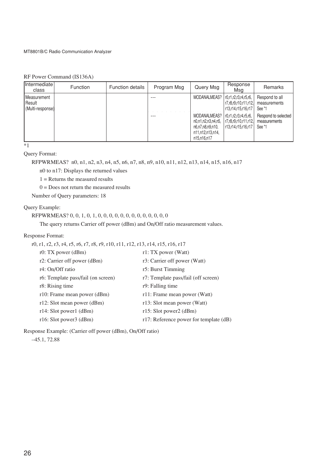## RF Power Command (IS136A)

| <b>Intermediate</b><br>class                        | <b>Function</b> | <b>Function details</b> | Program Msg | Query Msg                                                                                 | Response<br>Msa                                                            | Remarks                                       |
|-----------------------------------------------------|-----------------|-------------------------|-------------|-------------------------------------------------------------------------------------------|----------------------------------------------------------------------------|-----------------------------------------------|
| <b>I</b> Measurement<br>l Result<br>Multi-response) |                 |                         |             | MODANALMEAS?                                                                              | r0,r1,r2,r3,r4,r5,r6.<br>  r7.r8.r9.r10.r11.r12. <br>  r13.r14.r15.r16.r17 | Respond to all<br>measurements<br>See *1      |
|                                                     |                 |                         | ---         | MODANALMEAS?<br>n0.n1.n2.n3.n4.n5.<br>n6.n7.n8.n9.n10.<br>n11,n12,n13,n14,<br>n15.n16.n17 | $ $ r0.r1.r2.r3.r4.r5.r6.<br> r7,r8,r9,r10,r11,r12 <br>r13.r14.r15.r16.r17 | Respond to selected<br>measurements<br>See *1 |

 $\overline{1}$ 

## Query Format:

RFPWRMEAS? n0, n1, n2, n3, n4, n5, n6, n7, n8, n9, n10, n11, n12, n13, n14, n15, n16, n17

n0 to n17: Displays the returned values

 $1 =$  Returns the measured results

 $0 =$  Does not return the measured results

Number of Query parameters: 18

## Query Example:

```
RFPWRMEAS? 0, 0, 1, 0, 1, 0, 0, 0, 0, 0, 0, 0, 0, 0, 0, 0, 0, 0
```
The query returns Carrier off power (dBm) and On/Off ratio measurement values.

## Response Format:

r0, r1, r2, r3, r4, r5, r6, r7, r8, r9, r10, r11, r12, r13, r14, r15, r16, r17

| r0: TX power $(dBm)$               | r1: TX power (Watt)                    |
|------------------------------------|----------------------------------------|
| r2: Carrier off power (dBm)        | r3: Carrier off power (Watt)           |
| r4: On/Off ratio                   | r5: Burst Timming                      |
| r6: Template pass/fail (on screen) | r7: Template pass/fail (off screen)    |
| r8: Rising time                    | r9: Falling time                       |
| r10: Frame mean power (dBm)        | r11: Frame mean power (Watt)           |
| $r12$ : Slot mean power (dBm)      | r13: Slot mean power (Watt)            |
| $r14$ : Slot power1 (dBm)          | r15: Slot power2 (dBm)                 |
| $r16$ : Slot power3 (dBm)          | r17: Reference power for template (dB) |

Response Example: (Carrier off power (dBm), On/Off ratio)

–45.1, 72.88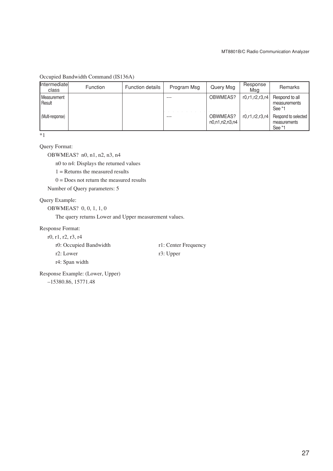| Intermediate<br>class        | Function | <b>Function details</b> | Program Msg | Query Msg                  | Response<br>Msa    | Remarks                                       |
|------------------------------|----------|-------------------------|-------------|----------------------------|--------------------|-----------------------------------------------|
| Measurement<br><b>Result</b> |          |                         |             | OBWMEAS?                   | r0, r1, r2, r3, r4 | Respond to all<br>measurements<br>See *1      |
| (Multi-response)             |          |                         |             | OBWMEAS?<br>n0.n1.n2.n3.n4 | r0, r1, r2, r3, r4 | Respond to selected<br>measurements<br>See *1 |

Occupied Bandwidth Command (IS136A)

\*1

## Query Format:

OBWMEAS? n0, n1, n2, n3, n4

n0 to n4: Displays the returned values

 $1 =$  Returns the measured results

 $0 = Does not return the measured results$ 

Number of Query parameters: 5

## Query Example:

OBWMEAS? 0, 0, 1, 1, 0

The query returns Lower and Upper measurement values.

#### Response Format:

r0, r1, r2, r3, r4

- r0: Occupied Bandwidth r1: Center Frequency
- r2: Lower r3: Upper r4: Span width
- 

Response Example: (Lower, Upper)

–15380.86, 15771.48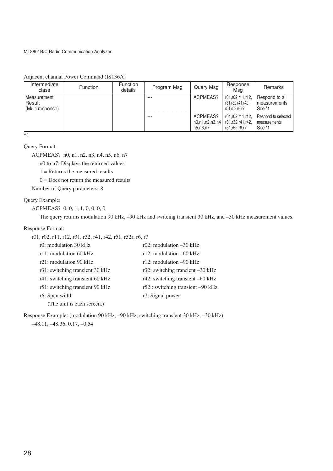| Intermediate<br>class                     | Function | Function<br>details | Program Msg | Query Msg                                  | Response<br>Msg                                       | Remarks                                       |
|-------------------------------------------|----------|---------------------|-------------|--------------------------------------------|-------------------------------------------------------|-----------------------------------------------|
| Measurement<br>Result<br>(Multi-response) |          |                     | ---         | ACPMEAS?                                   | r01.r02.r11.r12.<br>r31.r32.r41.r42.<br>r51,r52,r6,r7 | Respond to all<br>measurements<br>See *1      |
|                                           |          |                     | ---         | ACPMEAS?<br>n0, n1, n2, n3, n4<br>n5.n6.n7 | r01.r02.r11.r12.<br>r31,r32,r41,r42,<br>r51,r52,r6,r7 | Respond to selected<br>measurements<br>See *1 |

Adjacent channal Power Command (IS136A)

 $\overline{\cdot}$ 

## Query Format:

ACPMEAS? n0, n1, n2, n3, n4, n5, n6, n7

n0 to n7: Displays the returned values

 $1 =$  Returns the measured results

 $0 =$  Does not return the measured results

Number of Query parameters: 8

#### Query Example:

ACPMEAS? 0, 0, 1, 1, 0, 0, 0, 0

The query returns modulation 90 kHz, –90 kHz and switcing transient 30 kHz, and –30 kHz measurement values.

#### Response Format:

| r01, r02, r11, r12, r31, r32, r41, r42, r51, r52r, r6, r7 |  |  |  |  |
|-----------------------------------------------------------|--|--|--|--|
|-----------------------------------------------------------|--|--|--|--|

| r0: modulation 30 kHz           | r02: modulation $-30$ kHz             |
|---------------------------------|---------------------------------------|
| $r11$ : modulation 60 kHz       | r12: modulation $-60$ kHz             |
| r21: modulation 90 kHz          | r12: modulation $-90$ kHz             |
| r31: switching transient 30 kHz | r32: switching transient $-30$ kHz    |
| r41: switching transient 60 kHz | $r42$ : switching transient $-60$ kHz |
| r51: switching transient 90 kHz | r52 : switching transient -90 kHz     |
| r6: Span width                  | r7: Signal power                      |
| (The unit is each screen.)      |                                       |

Response Example: (modulation 90 kHz, –90 kHz, switching transient 30 kHz, –30 kHz)

–48.11, –48.36, 0.17, –0.54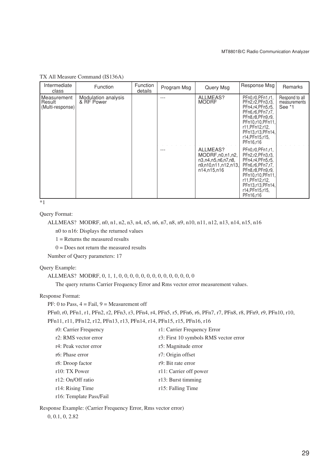| Intermediate<br>class                      | Function                          | <b>Function</b><br>details | Program Msg | Query Msg                                                                                  | Response Msg                                                                                                                                                                                   | Remarks                                  |
|--------------------------------------------|-----------------------------------|----------------------------|-------------|--------------------------------------------------------------------------------------------|------------------------------------------------------------------------------------------------------------------------------------------------------------------------------------------------|------------------------------------------|
| Measurement<br> Result<br>(Multi-response) | Modulation analysis<br>& RF Power |                            |             | ALLMEAS?<br><b>MODRF</b>                                                                   | PEn0,r0,PEn1,r1,<br>PFn2,r2,PFn3,r3,<br>PFn4,r4,PFn5,r5,<br>PFn6.r6.PFn7.r7.<br>PFn8.r8.PFn9.r9.<br>PFn10,r10,PFn11,<br>r11, PFn12, r12,<br>PFn13,r13,PFn14,<br>r14, PFn15, r15,<br>PFn16,r16  | Respond to all<br>measurements<br>See *1 |
|                                            |                                   |                            |             | ALLMEAS?<br>MODRF, n0, n1, n2,<br>n3,n4,n5,n6,n7,n8,<br>n9,n10,n11,n12,n13,<br>n14,n15,n16 | PFn0,r0,PFn1,r1,<br>PFn2,r2, PFn3,r3,<br>PFn4,r4,PFn5,r5,<br>PFn6,r6,PFn7,r7,<br>PFn8,r8,PFn9,r9,<br>PFn10,r10,PFn11.<br>r11, PFn12, r12,<br>PFn13,r13,PFn14,<br>r14, PFn15, r15,<br>PFn16,r16 |                                          |

TX All Measure Command (IS136A)

 $\overline{\ }$  \*1

Query Format:

```
ALLMEAS? MODRF, n0, n1, n2, n3, n4, n5, n6, n7, n8, n9, n10, n11, n12, n13, n14, n15, n16
   n0 to n16: Displays the returned values
```
1 = Returns the measured results

 $0 =$  Does not return the measured results

Number of Query parameters: 17

#### Query Example:

## ALLMEAS? MODRF, 0, 1, 1, 0, 0, 0, 0, 0, 0, 0, 0, 0, 0, 0, 0, 0, 0

The query returns Carrier Frequency Error and Rms vector error measurement values.

## Response Format:

```
PF: 0 to Pass, 4 = \text{Tail}, 9 = \text{Measurement of }
```
PFn0, r0, PFn1, r1, PFn2, r2, PFn3, r3, PFn4, r4, PFn5, r5, PFn6, r6, PFn7, r7, PFn8, r8, PFn9, r9, PFn10, r10,

PFn11, r11, PFn12, r12, PFn13, r13, PFn14, r14, PFn15, r15, PFn16, r16

| r0: Carrier Frequency   | r1: Carrier Frequency Error           |
|-------------------------|---------------------------------------|
| r2: RMS vector error    | r3: First 10 symbols RMS vector error |
| r4: Peak vector error   | r5: Magnitude error                   |
| r6: Phase error         | r7: Origin offset                     |
| r8: Droop factor        | r9: Bit rate error                    |
| r10: TX Power           | r11: Carrier off power                |
| r12: On/Off ratio       | r13: Burst timming                    |
| r14: Rising Time        | r15: Falling Time                     |
| r16: Template Pass/Fail |                                       |

Response Example: (Carrier Frequency Error, Rms vector error)

0, 0.1, 0, 2.82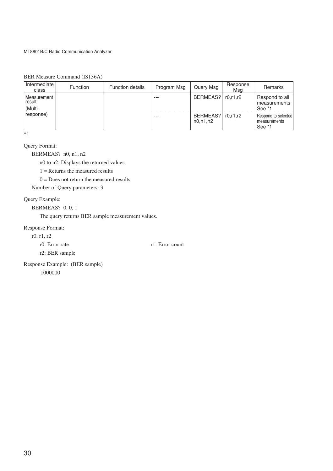| Intermediate  <br>class            | <b>Function</b> | <b>Function details</b> | Program Msg | Query Msg              | Response<br>Msa | Remarks                                       |
|------------------------------------|-----------------|-------------------------|-------------|------------------------|-----------------|-----------------------------------------------|
| Measurement<br>l result<br>(Multi- |                 |                         |             | BERMEAS?               | r0.r1.r2        | Respond to all<br>measurements<br>See *1      |
| response)                          |                 |                         |             | BERMEAS?<br>n0, n1, n2 | r0.r1.r2        | Respond to selected<br>measurements<br>See *1 |

BER Measure Command (IS136A)

\*1

Query Format:

BERMEAS? n0, n1, n2

n0 to n2: Displays the returned values

 $1 =$  Returns the measured results

 $0 =$  Does not return the measured results

Number of Query parameters: 3

## Query Example:

BERMEAS? 0, 0, 1

The query returns BER sample measurement values.

### Response Format:

r0, r1, r2

r0: Error rate r1: Error count

r2: BER sample

Response Example: (BER sample) 1000000

30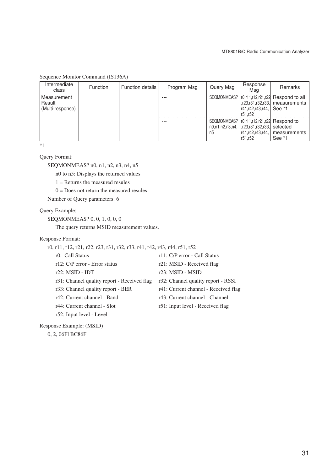| Intermediate<br>class                     | <b>Function</b> | <b>Function details</b> | Program Msg | Query Msg                            | Response<br>Msa                                                                             | Remarks                                                                        |
|-------------------------------------------|-----------------|-------------------------|-------------|--------------------------------------|---------------------------------------------------------------------------------------------|--------------------------------------------------------------------------------|
| Measurement<br>Result<br>(Multi-response) |                 |                         | ---         | SEQMONMEAS?I                         | r41,r42,r43,r44,<br>r51.r52                                                                 | $r0,r11,r12,r21,r22$ Respond to all<br>r23,r31,r32,r33, measurements<br>See *1 |
|                                           |                 |                         | ---         | SEQMONMEAS?<br>n0.n1.n2.n3.n4.<br>n5 | r0.r11.r12.r21.r22 Respond to<br>r23,r31,r32,r33,  selected,<br>r41.r42.r43.r44.<br>r51.r52 | measurements<br>See *1                                                         |

Sequence Monitor Command (IS136A)

\*1

Query Format:

SEQMONMEAS? n0, n1, n2, n3, n4, n5

n0 to n5: Displays the returned values

1 = Returns the measured resules

 $0 =$  Does not return the measured resules

Number of Query parameters: 6

Query Example:

SEQMONMEAS? 0, 0, 1, 0, 0, 0

The query returns MSID measurement values.

Response Format:

| r0, r11, r12, r21, r22, r23, r31, r32, r33, r41, r42, r43, r44, r51, r52 |  |  |  |  |  |  |  |  |  |  |
|--------------------------------------------------------------------------|--|--|--|--|--|--|--|--|--|--|
|--------------------------------------------------------------------------|--|--|--|--|--|--|--|--|--|--|

| r0: Call Status                             | r11: C/P error - Call Status         |
|---------------------------------------------|--------------------------------------|
| $r12$ : C/P error - Error status            | r21: MSID - Received flag            |
| $r22$ : MSID - IDT                          | $r23$ : MSID - MSID                  |
| r31: Channel quality report - Received flag | r32: Channel quality report - RSSI   |
| r33: Channel quality report - BER           | r41: Current channel - Received flag |
| r42: Current channel - Band                 | r43: Current channel - Channel       |
| r44: Current channel - Slot                 | r51: Input level - Received flag     |
| r52: Input level - Level                    |                                      |
|                                             |                                      |

Response Example: (MSID)

0, 2, 06F1BC86F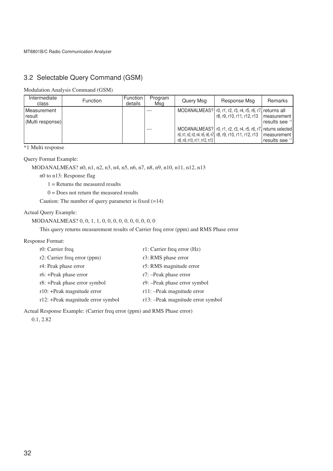# 3.2 Selectable Query Command (GSM)

Modulation Analysis Command (GSM)

| Intermediate<br>class                              | <b>Function</b> | <b>Function</b><br>details | Program<br>Msg | Query Msg                  | Response Msg                                                                                                                                | Remarks        |
|----------------------------------------------------|-----------------|----------------------------|----------------|----------------------------|---------------------------------------------------------------------------------------------------------------------------------------------|----------------|
| Measurement<br><b>I</b> result<br>(Multi response) |                 |                            |                |                            | MODANALMEAS?   r0, r1, r2, r3, r4, r5, r6, r7, returns all<br>$\vert$ r8, r9, r10, r11, r12, r13 $\vert$ measurement $\vert$                | results see *1 |
|                                                    |                 |                            |                | n8, n9, n10, n11, n12, n13 | MODANALMEAS?   r0, r1, r2, r3, r4, r5, r6, r7, returns selected<br>n0, n1, n2, n3, n4, n5, n6, n7, r8, r9, r10, r11, r12, r13   measurement | results see *1 |

\*1 Multi response

## Query Format Example:

MODANALMEAS? n0, n1, n2, n3, n4, n5, n6, n7, n8, n9, n10, n11, n12, n13

n0 to n13: Response flag

1 = Returns the measured results

 $0 = Does not return the measured results$ 

Caution: The number of query parameter is fixed (=14)

#### Actual Query Example:

MODANALMEAS? 0, 0, 1, 1, 0, 0, 0, 0, 0, 0, 0, 0, 0, 0

This query returns measurement results of Carrier freq error (ppm) and RMS Phase error

### Response Format:

| r0: Carrier freq                  | r1: Carrier freq error (Hz)       |
|-----------------------------------|-----------------------------------|
| r2: Carrier freq error (ppm)      | r3: RMS phase error               |
| r4: Peak phase error              | r5: RMS magnitude error           |
| r6: +Peak phase error             | r7: -Peak phase error             |
| r8: +Peak phase error symbol      | r9: -Peak phase error symbol      |
| $r10$ : +Peak magnitude error     | r11: - Peak magnitude error       |
| r12: +Peak magnitude error symbol | r13: -Peak magnitude error symbol |
|                                   |                                   |

Actual Response Example: (Carrier freq error (ppm) and RMS Phase error)

0.1, 2.82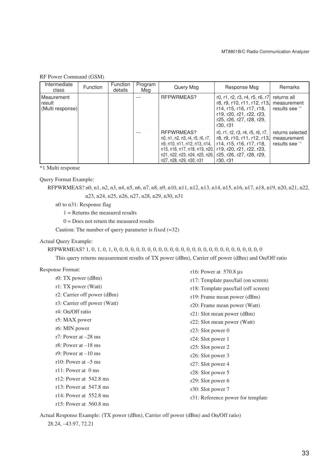## RF Power Command (GSM)

| Intermediate<br>class                        | <b>Function</b> | Function<br>details | Program<br>Msa | Query Msg                                                                                                                                                                  | Response Msg                                                                                                                                                   | <b>Remarks</b>                                    |
|----------------------------------------------|-----------------|---------------------|----------------|----------------------------------------------------------------------------------------------------------------------------------------------------------------------------|----------------------------------------------------------------------------------------------------------------------------------------------------------------|---------------------------------------------------|
| l Meaurement<br>l result<br>(Multi response) |                 |                     |                | RFPWRMEAS?                                                                                                                                                                 | r0, r1, r2, r3, r4, r5, r6, r7<br>r8, r9, r10, r11, r12, r13.<br>r14, r15, r16, r17, r18,<br>r19, r20, r21, r22, r23,<br>r25, r26, r27, r28, r29,<br>r30. r31  | returns all<br>measurement<br>results see *1      |
|                                              |                 |                     | ---            | RFPWRMEAS?<br>n0, n1, n2, n3, r4, r5, r6, r7,<br>n9, n10, n11, n12, n13, n14,<br>n15, n16, n17, n18, n19, n20,<br>n21, n22, n23, n24, n25, n26,<br>n27, n28, n29, n30, n31 | r0, r1, r2, r3, r4, r5, r6, r7,<br>r8, r9, r10, r11, r12, r13,<br>r14, r15, r16, r17, r18,<br>r19, r20, r21, r22, r23,<br>r25, r26, r27, r28, r29,<br>r30, r31 | returns selected<br>measurement<br>results see *1 |

\*1 Multi response

Query Format Example:

RFPWRMEAS? n0, n1, n2, n3, n4, n5, n6, n7, n8, n9, n10, n11, n12, n13, n14, n15, n16, n17, n18, n19, n20, n21, n22, n23, n24, n25, n26, n27, n28, n29, n30, n31

n0 to n31: Response flag

 $1 =$  Returns the measured results

 $0 =$  Does not return the measured results

Caution: The number of query parameter is fixed  $(=32)$ 

#### Actual Query Example:

RFPWRMEAS? 1, 0, 1, 0, 1, 0, 0, 0, 0, 0, 0, 0, 0, 0, 0, 0, 0, 0, 0, 0, 0, 0, 0, 0, 0, 0, 0, 0, 0, 0, 0, 0

This query returns measurement results of TX power (dBm), Carrier off power (dBm) and On/Off ratio

#### Response Format:

| r16: Power at $570.8 \mu s$          |
|--------------------------------------|
| r17: Template pass/fail (on screen)  |
| r18: Template pass/fail (off screen) |
| r19: Frame mean power (dBm)          |
| r20: Frame mean power (Watt)         |
| $r21$ : Slot mean power (dBm)        |
| r22: Slot mean power (Watt)          |
| $r23$ : Slot power 0                 |
| $r24$ : Slot power 1                 |
| r25: Slot power 2                    |
| r26: Slot power $3$                  |
| r27: Slot power 4                    |
| r28: Slot power $5$                  |
| $r29$ : Slot power 6                 |
| r30: Slot power 7                    |
| r31: Reference power for template    |
|                                      |
|                                      |

Actual Response Example: (TX power (dBm), Carrier off power (dBm) and On/Off ratio) 28.24, –43.97, 72.21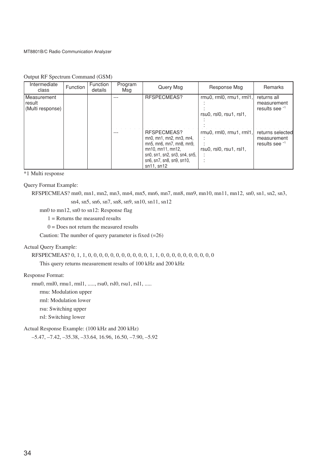|  |  | Output RF Spectrum Command (GSM) |  |
|--|--|----------------------------------|--|
|--|--|----------------------------------|--|

| Intermediate<br>class                              | <b>Function</b> | <b>Function</b><br>details | Program<br>Msg | Query Msg                                                                                                                                                            | Response Msg                                       | Remarks                                           |
|----------------------------------------------------|-----------------|----------------------------|----------------|----------------------------------------------------------------------------------------------------------------------------------------------------------------------|----------------------------------------------------|---------------------------------------------------|
| <b>IMeasurement</b><br>Iresult<br>(Multi response) |                 |                            |                | RESPECMEAS?                                                                                                                                                          | rmu0, rml0, rmu1, rml1,<br>rsu0, rsl0, rsu1, rsl1, | returns all<br>measurement<br>results see *1      |
|                                                    |                 |                            |                | RFSPECMEAS?<br>mn0, mn1, mn2, mn3, mr4,<br>mn5, mn6, mn7, mn8, mn9,<br>mn10, mn11, mn12,<br>sn0, sn1, sn2, sn3, sn4, sn5,<br>sn6, sn7, sn8, sn9, sn10,<br>sn11, sn12 | rmu0, rml0, rmu1, rml1,<br>rsu0, rsl0, rsu1, rsl1, | returns selected<br>measurement<br>results see *1 |

\*1 Multi response

Query Format Example:

```
RFSPECMEAS? mn0, mn1, mn2, mn3, mn4, mn5, mn6, mn7, mn8, mn9, mn10, mn11, mn12, sn0, sn1, sn2, sn3,
                 sn4, sn5, sn6, sn7, sn8, sn9, sn10, sn11, sn12
```
mn0 to mn12, sn0 to sn12: Response flag

1 = Returns the measured results

 $0 =$  Does not return the measured results

Caution: The number of query parameter is fixed  $(=26)$ 

## Actual Query Example:

RFSPECMEAS? 0, 1, 1, 0, 0, 0, 0, 0, 0, 0, 0, 0, 0, 0, 1, 1, 0, 0, 0, 0, 0, 0, 0, 0, 0, 0, 0

This query returns measurement results of 100 kHz and 200 kHz

## Response Format:

rmu0, rml0, rmu1, rml1, ....., rsu0, rsl0, rsu1, rsl1, .....

rmu: Modulation upper

rml: Modulation lower

rsu: Switching upper

rsl: Switching lower

Actual Response Example: (100 kHz and 200 kHz)

–5.47, –7.42, –35.38, –33.64, 16.96, 16.50, –7.90, –5.92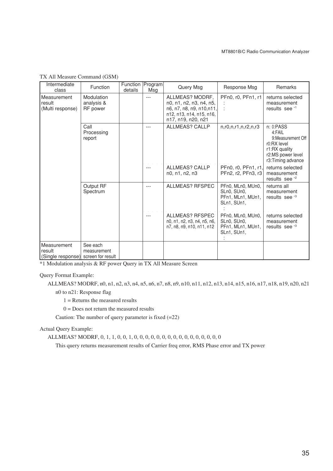| Intermediate<br>class                      | Function                                     | Function   Program  <br>details | Msg | Query Msg                                                                                                                | Response Msg                                                         | Remarks                                                                                                             |
|--------------------------------------------|----------------------------------------------|---------------------------------|-----|--------------------------------------------------------------------------------------------------------------------------|----------------------------------------------------------------------|---------------------------------------------------------------------------------------------------------------------|
| Measurement<br>result<br>(Multi response)  | Modulation<br>analysis &<br><b>RF</b> power  |                                 | --- | ALLMEAS? MODRF.<br>n0, n1, n2, n3, n4, n5,<br>n6, n7, n8, n9, n10,n11,<br>n12, n13, n14, n15, n16,<br>n17, n19, n20, n21 | PFn0, r0, PFn1, r1                                                   | returns selected<br>measurement<br>results see *1                                                                   |
|                                            | Call<br>Processing<br>report                 |                                 | --- | <b>ALLMEAS? CALLP</b>                                                                                                    | n, r0, n, r1, n, r2, n, r3                                           | n: 0: PASS<br>4:FAIL<br>9:Measurement Off<br>r0:RX level<br>r1:RX quality<br>r2:MS power level<br>r3:Timing advance |
|                                            |                                              |                                 |     | <b>ALLMEAS? CALLP</b><br>n0, n1, n2, n3                                                                                  | PFn0, r0, PFn1, r1,<br>PFn2, r2, PFn3, r3                            | returns selected<br>measurement<br>results see <sup>*2</sup>                                                        |
|                                            | Output RF<br>Spectrum                        |                                 | --- | <b>ALLMEAS? RFSPEC</b>                                                                                                   | PFn0, MLn0, MUn0,<br>SLn0, SUn0,<br>PFn1, MLn1, MUn1,<br>SLn1, SUn1, | returns all<br>measurement<br>results see <sup>\$3</sup>                                                            |
|                                            |                                              |                                 |     | <b>ALLMEAS? RFSPEC</b><br>n0, n1, n2, n3, n4, n5, n6,<br>n7, n8, n9, n10, n11, n12                                       | PFn0, MLn0, MUn0,<br>SLn0, SUn0,<br>PFn1, MLn1, MUn1,<br>SLn1, SUn1, | returns selected<br>measurement<br>results see <sup>3</sup>                                                         |
| Measurement<br>result<br>(Single response) | See each<br>measurement<br>screen for result |                                 |     |                                                                                                                          |                                                                      |                                                                                                                     |

TX All Measure Command (GSM)

\*1 Modulation analysis & RF power Query in TX All Measure Screen

Query Format Example:

ALLMEAS? MODRF, n0, n1, n2, n3, n4, n5, n6, n7, n8, n9, n10, n11, n12, n13, n14, n15, n16, n17, n18, n19, n20, n21

n0 to n21: Response flag

 $1 =$  Returns the measured results

 $0 =$  Does not return the measured results

Caution: The number of query parameter is fixed (=22)

Actual Query Example:

ALLMEAS? MODRF, 0, 1, 1, 0, 0, 1, 0, 0, 0, 0, 0, 0, 0, 0, 0, 0, 0, 0, 0, 0, 0, 0

This query returns measurement results of Carrier freq error, RMS Phase error and TX power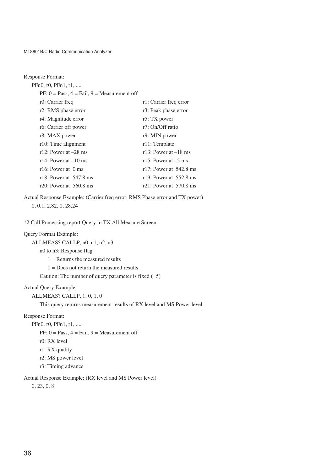| <b>Response Format:</b>                       |                                  |
|-----------------------------------------------|----------------------------------|
| $PFn0, r0, PFn1, r1, \ldots$                  |                                  |
| $PF: 0 = Pass, 4 = Fail, 9 = Measurement$ off |                                  |
| r0: Carrier freq                              | r1: Carrier freq error           |
| r2: RMS phase error                           | r3: Peak phase error             |
| r4: Magnitude error                           | r5: TX power                     |
| r6: Carrier off power                         | r7: On/Off ratio                 |
| r8: MAX power                                 | r9: MIN power                    |
| r10: Time alignment                           | r11: Template                    |
| r12: Power at $-28$ ms                        | r13: Power at $-18$ ms           |
| r14: Power at $-10$ ms                        | r15: Power at $-5$ ms            |
| r16: Power at $\theta$ ms                     | r17: Power at $542.8 \text{ ms}$ |
| r18: Power at $547.8 \text{ ms}$              | r19: Power at $552.8 \text{ ms}$ |
| r20: Power at $560.8 \text{ ms}$              | r21: Power at $570.8 \text{ ms}$ |

Actual Response Example: (Carrier freq error, RMS Phase error and TX power) 0, 0.1, 2.82, 0, 28.24

\*2 Call Processing report Query in TX All Measure Screen

## Query Format Example:

```
ALLMEAS? CALLP, n0, n1, n2, n3
```
n0 to n3: Response flag

1 = Returns the measured results

 $0 = Does not return the measured results$ 

Caution: The number of query parameter is fixed (=5)

Actual Query Example:

ALLMEAS? CALLP, 1, 0, 1, 0

This query returns measurement results of RX level and MS Power level

Response Format:

PFn0, r0, PFn1, r1, ..... PF:  $0 = Pass, 4 = Fail, 9 = Measurement$ r0: RX level r1: RX quality r2: MS power level r3: Timing advance

Actual Response Example: (RX level and MS Power level)

0, 23, 0, 8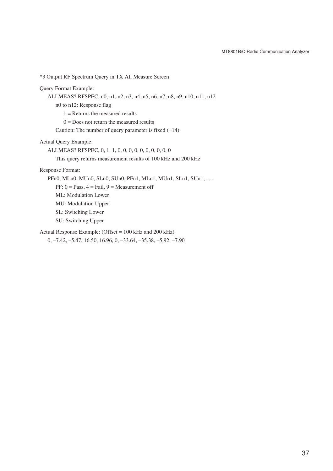\*3 Output RF Spectrum Query in TX All Measure Screen Query Format Example: ALLMEAS? RFSPEC, n0, n1, n2, n3, n4, n5, n6, n7, n8, n9, n10, n11, n12 n0 to n12: Response flag  $1 =$  Returns the measured results  $0 = Does not return the measured results$ Caution: The number of query parameter is fixed  $(=14)$ Actual Query Example: ALLMEAS? RFSPEC, 0, 1, 1, 0, 0, 0, 0, 0, 0, 0, 0, 0, 0 This query returns measurement results of 100 kHz and 200 kHz Response Format: PFn0, MLn0, MUn0, SLn0, SUn0, PFn1, MLn1, MUn1, SLn1, SUn1, ..... PF:  $0 = Pass, 4 = Fail, 9 = Measurement$ ML: Modulation Lower MU: Modulation Upper SL: Switching Lower SU: Switching Upper Actual Response Example: (Offset = 100 kHz and 200 kHz) 0, –7.42, –5.47, 16.50, 16.96, 0, –33.64, –35.38, –5.92, –7.90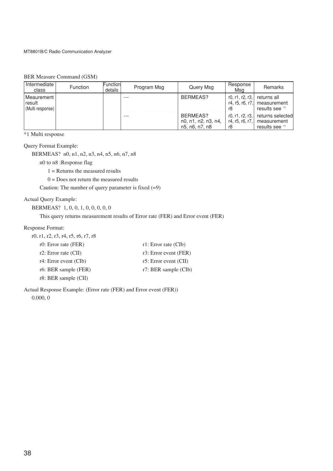## BER Measure Command (GSM)

| Intermediate<br>class                    | <b>Function</b> | Function<br>details | Program Msg | Query Msg                                         | Response<br>Msa                          | Remarks                                           |
|------------------------------------------|-----------------|---------------------|-------------|---------------------------------------------------|------------------------------------------|---------------------------------------------------|
| Meaurement<br>result<br>(Multi response) |                 |                     | ---         | BERMEAS?                                          | r0, r1, r2, r3,<br>r4, r5, r6, r7,<br>r8 | returns all<br>measurement<br>results see *1      |
|                                          |                 |                     | $- - -$     | BERMEAS?<br>n0, n1, n2, n3, n4,<br>n5, n6, n7, n8 | r0, r1, r2, r3,<br>r4, r5, r6, r7,<br>r8 | returns selected<br>measurement<br>results see *1 |

\*1 Multi response

#### Query Format Example:

BERMEAS? n0, n1, n2, n3, n4, n5, n6, n7, n8

n0 to n8 :Response flag

1 = Returns the measured results

 $0 =$  Does not return the measured results

Caution: The number of query parameter is fixed  $(=9)$ 

## Actual Query Example:

BERMEAS? 1, 0, 0, 1, 0, 0, 0, 0, 0

This query returns measurement results of Error rate (FER) and Error event (FER)

#### Response Format:

| r0, r1, r2, r3, r4, r5, r6, r7, r8 |                                             |
|------------------------------------|---------------------------------------------|
| r0: Error rate (FER)               | $r1$ : Error rate (CIb)                     |
| $r2$ : Error rate (CII)            | r3: Error event $(FER)$                     |
| $r4$ : Error event (CIb)           | r5: Error event $\left( \text{CII} \right)$ |
| r6: BER sample (FER)               | $r$ . BER sample (CIb)                      |
| r8: BER sample (CII)               |                                             |

Actual Response Example: (Error rate (FER) and Error event (FER)) 0.000, 0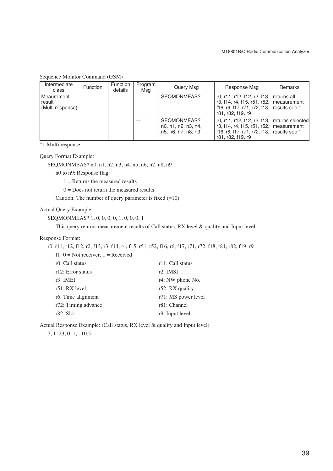## Sequence Monitor Command (GSM)

| Intermediate<br>class                      | <b>Function</b> | Function<br>details | Program<br>Msg | Query Msg                                                | Response Msg                                                                                                    | Remarks                                           |
|--------------------------------------------|-----------------|---------------------|----------------|----------------------------------------------------------|-----------------------------------------------------------------------------------------------------------------|---------------------------------------------------|
| Meaurement<br>l result<br>(Multi response) |                 |                     | ---            | SEQMONMEAS?                                              | r0, r11, r12, f12, r2, f13,<br>r3, f14, r4, f15, r51, r52,<br>f16, r6, f17, r71, r72, f18,<br>r81, r82, f19, r9 | returns all<br>measurement<br>results see *1      |
|                                            |                 |                     |                | SEQMONMEAS?<br>n0, n1, n2, n3, n4,<br>n5, n6, n7, n8, n9 | r0, r11, r12, f12, r2, f13,<br>r3, f14, r4, f15, r51, r52,<br>f16, r6, f17, r71, r72, f18,<br>r81, r82, f19, r9 | returns selected<br>measurement<br>results see *1 |

\*1 Multi response

Query Format Example:

SEQMONMEAS? n0, n1, n2, n3, n4, n5, n6, n7, n8, n9

n0 to n9: Response flag

 $1 =$  Returns the measured results

 $0 =$  Does not return the measured results

Caution: The number of query parameter is fixed  $(=10)$ 

#### Actual Query Example:

SEQMONMEAS? 1, 0, 0, 0, 0, 1, 0, 0, 0, 1

This query returns measurement results of Call status, RX level & quality and Input level

#### Response Format:

r0, r11, r12, f12, r2, f13, r3, f14, r4, f15, r51, r52, f16, r6, f17, r71, r72, f18, r81, r82, f19, r9

f1:  $0 = Not receiver$ ,  $1 = Received$ 

| r0: Call status     | r11: Call status    |
|---------------------|---------------------|
| r12: Error status   | $r2$ : IMSI         |
| r3: IMEI            | r4: NW phone No.    |
| r51: RX level       | r52: RX quality     |
| r6: Time alignment  | r71: MS power level |
| r72: Timing advance | r81: Channel        |
| $r82:$ Slot         | r9: Input level     |

Actual Response Example: (Call status, RX level & quality and Input level)

7, 1, 23, 0, 1, –10.5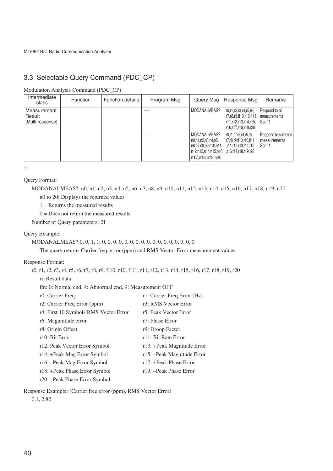# 3.3 Selectable Query Command (PDC\_CP)

Modulation Analysis Command (PDC\_CP)

| Intermediate<br>class                     | <b>Function</b> | <b>Function details</b> | Program Msg | Query Msa                                                                                                                      | Response Msal                                                                                  | <b>Remarks</b>                                |
|-------------------------------------------|-----------------|-------------------------|-------------|--------------------------------------------------------------------------------------------------------------------------------|------------------------------------------------------------------------------------------------|-----------------------------------------------|
| Measurement<br>Result<br>(Multi-response) |                 |                         |             | MODANALMEAS?                                                                                                                   | r0,r1,r2,r3,r4,r5,r6,<br>r7,r8,r9,fl10,r10,fl11<br>r11,r12,r13,r14,r15,<br>r16.r17.r18.r19.r20 | Respond to all<br>measurements<br>See *1      |
|                                           |                 |                         | ---         | MODANALMEAS?<br>n0.n1.n2.n3.n4.n5.<br>  n6,n7,n8,n9,n10,n11,<br>r16.r17.r18.r19.r20.   .f16.r17.r18.r19.r20<br>n17,n18,n19,n20 | r0.r1.r2.r3.r4.r5.r6.<br>r7,r8,r9,fl10,r10,fl11<br>r11.r12.r13.r14.r15.                        | Respond to selected<br>measurements<br>See *1 |

\*1

Query Format:

MODANALMEAS? n0, n1, n2, n3, n4, n5, n6, n7, n8, n9, n10, n11, n12, n13, n14, n15, n16, n17, n18, n19, n20 n0 to 20: Displays the returned values

 $1 =$  Returns the measured results

 $0 =$  Does not return the measured results

Number of Query parameters: 21

#### Query Example:

## MODANALMEAS? 0, 0, 1, 1, 0, 0, 0, 0, 0, 0, 0, 0, 0, 0, 0, 0, 0, 0, 0, 0, 0

The query returns Carrier freq. error (ppm) and RMS Vector Error measurement values.

### Response Format:

r0, r1, r2, r3, r4, r5, r6, r7, r8, r9, fl10, r10, fl11, r11, r12, r13, r14, r15, r16, r17, r18, r19, r20

ri: Result data

fln: 0: Normal end, 4: Abnormal end, 9: Measurement OFF

| r0: Carrier Freq                      | r1: Carrier Freq Error (Hz) |
|---------------------------------------|-----------------------------|
| r2: Carrier Freq Error (ppm)          | r3: RMS Vector Error        |
| r4: First 10 Symbols RMS Vector Error | r5: Peak Vector Error       |
| r <sub>6</sub> : Magunitude error     | r7: Phase Error             |
| r8: Origin Offset                     | r9: Droop Factor            |
| r10: Bit Error                        | r11: Bit Rate Error         |
| r12: Peak Vector Error Symbol         | r13: +Peak Magnitude Error  |
| r14: +Peak Mag Error Symbol           | r15: - Peak Magnitude Error |
| r16: --Peak Mag Error Symbol          | r17: +Peak Phase Error      |
| r18: +Peak Phase Error Symbol         | r19: - Peak Phase Error     |
| r20: --Peak Phase Error Symbol        |                             |

Response Example: (Carrier freq error (ppm), RMS Vector Error)

0.1, 2.82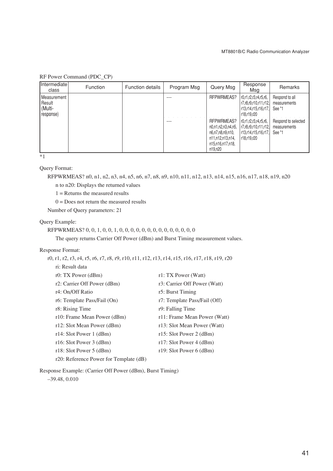|  |  | RF Power Command (PDC_CP) |  |  |
|--|--|---------------------------|--|--|
|--|--|---------------------------|--|--|

| Intermediate<br>class                                  | Function | <b>Function details</b> | Program Msg | Query Msg                                                                                               | Response<br>Msa                                                                            | Remarks                                       |
|--------------------------------------------------------|----------|-------------------------|-------------|---------------------------------------------------------------------------------------------------------|--------------------------------------------------------------------------------------------|-----------------------------------------------|
| <b>I</b> Measurement<br>Result<br>(Multi-<br>(response |          |                         |             | RFPWRMEAS?                                                                                              | r0,r1,r2,r3,r4,r5,r6,<br>r7, r8, r9, r10, r11, r12,<br>r13,r14,r15,r16,r17,<br>r18,r19,r20 | Respond to all<br>measurements<br>See *1      |
|                                                        |          |                         |             | RFPWRMEAS?<br>n0.n1.n2.n3.n4.n5.<br>n6,n7,n8,n9,n10,<br>n11,n12,n13,n14,<br>n15,n16,n17,n18,<br>n19,n20 | r0,r1,r2,r3,r4,r5,r6,<br>  r7,r8,r9,r10,r11,r12, <br>r13,r14,r15,r16,r17,<br>r18,r19,r20   | Respond to selected<br>measurements<br>See *1 |
| $*1$                                                   |          |                         |             |                                                                                                         |                                                                                            |                                               |

Query Format:

RFPWRMEAS? n0, n1, n2, n3, n4, n5, n6, n7, n8, n9, n10, n11, n12, n13, n14, n15, n16, n17, n18, n19, n20

n to n20: Displays the returned values

1 = Returns the measured results

 $0 = Does not return the measured results$ 

Number of Query parameters: 21

#### Query Example:

RFPWRMEAS? 0, 0, 1, 0, 0, 1, 0, 0, 0, 0, 0, 0, 0, 0, 0, 0, 0, 0, 0, 0

The query returns Carrier Off Power (dBm) and Burst Timing measurement values.

### Response Format:

r0, r1, r2, r3, r4, r5, r6, r7, r8, r9, r10, r11, r12, r13, r14, r15, r16, r17, r18, r19, r20

| ri: Result data                        |                              |
|----------------------------------------|------------------------------|
| r0: TX Power $(dBm)$                   | r1: TX Power (Watt)          |
| r2: Carrier Off Power (dBm)            | r3: Carrier Off Power (Watt) |
| r4: On/Off Ratio                       | r5: Burst Timing             |
| r6: Template Pass/Fail (On)            | r7: Template Pass/Fail (Off) |
| r8: Rising Time                        | r9: Falling Time             |
| r10: Frame Mean Power (dBm)            | r11: Frame Mean Power (Watt) |
| r12: Slot Mean Power (dBm)             | r13: Slot Mean Power (Watt)  |
| r14: Slot Power $1$ (dBm)              | r15: Slot Power 2 $(dBm)$    |
| r16: Slot Power $3$ (dBm)              | r17: Slot Power $4$ (dBm)    |
| r18: Slot Power $5$ (dBm)              | r19: Slot Power $6$ (dBm)    |
| r20: Reference Power for Template (dB) |                              |

Response Example: (Carrier Off Power (dBm), Burst Timing)

–39.48, 0.010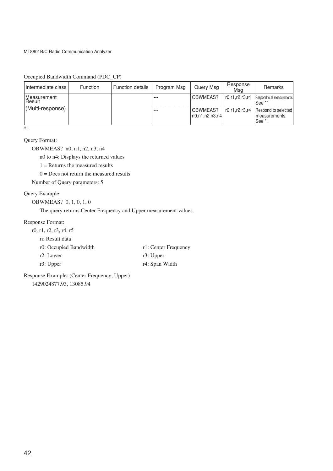Occupied Bandwidth Command (PDC\_CP)

| Intermediate class    | <b>Function</b> | <b>Function details</b> | Program Msg | Query Msg                                        | Response<br>Msa | Remarks                                       |
|-----------------------|-----------------|-------------------------|-------------|--------------------------------------------------|-----------------|-----------------------------------------------|
| Measurement<br>Result |                 |                         | ---         | OBWMEAS?                                         | r0.r1.r2.r3.r4  | Respond to all measurements<br>See *1         |
| (Multi-response)      |                 |                         | ---         | OBWMEAS?<br>$\lfloor n0. n1. n2. n3. n4 \rfloor$ | r0.r1.r2.r3.r4  | Respond to selected<br>measurements<br>See *1 |

 $\overline{\cdot}$ 

Query Format:

OBWMEAS? n0, n1, n2, n3, n4

n0 to n4: Displays the returned values

1 = Returns the measured results

 $0 =$  Does not return the measured results

Number of Query parameters: 5

## Query Example:

OBWMEAS? 0, 1, 0, 1, 0

The query returns Center Frequency and Upper measurement values.

#### Response Format:

| r0, r1, r2, r3, r4, r5 |                      |
|------------------------|----------------------|
| ri: Result data        |                      |
| r0: Occupied Bandwidth | r1: Center Frequency |
| r2: Lower              | $r3$ : Upper         |
| r3: Upper              | r4: Span Width       |
|                        |                      |

Response Example: (Center Frequency, Upper) 1429024877.93, 13085.94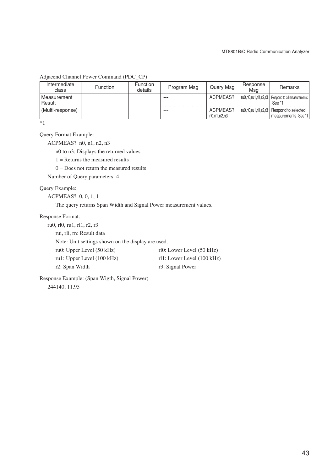Adjacend Channel Power Command (PDC\_CP)

| Intermediate<br>class            | <b>Function</b> | <b>Function</b><br>details | Program Msg | Query Msg               | Response<br>Msa | <b>Remarks</b>                                                     |
|----------------------------------|-----------------|----------------------------|-------------|-------------------------|-----------------|--------------------------------------------------------------------|
| <b>I</b> Measurement<br>l Result |                 |                            | $- - -$     | ACPMEAS?                |                 | ru0.rl0.ru1.rl1.r2.r3   Respond to all measurements<br>See *1      |
| (Multi-response)                 |                 |                            | $- - -$     | ACPMEAS?<br>n0.n1.n2.n3 |                 | ru0.rl0.ru1.rl1.r2.r3   Respond to selected<br>measurements See *1 |

\*1

Query Format Example:

ACPMEAS? n0, n1, n2, n3

n0 to n3: Displays the returned values

 $1 =$  Returns the measured results

 $0 =$  Does not return the measured results

Number of Query parameters: 4

### Query Example:

ACPMEAS? 0, 0, 1, 1

The query returns Span Width and Signal Power measurement values.

Response Format:

ru0, rl0, ru1, rl1, r2, r3

rui, rli, rn: Result data

Note: Unit settings shown on the display are used.

| ru0: Upper Level (50 kHz)  | rl $0$ : Lower Level $(50 \text{ kHz})$ |
|----------------------------|-----------------------------------------|
| ru1: Upper Level (100 kHz) | rl1: Lower Level (100 kHz)              |
| r2: Span Width             | r3: Signal Power                        |

Response Example: (Span Wigth, Signal Power) 244140, 11.95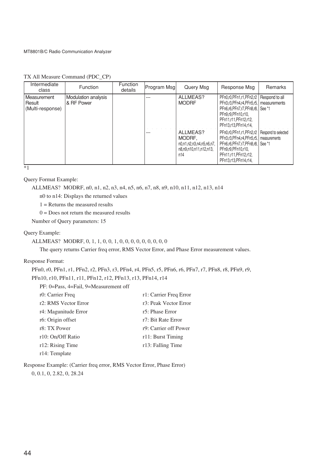## TX All Measure Command (PDC\_CP)

| Intermediate<br>class                            | <b>Function</b>                   | Function<br>details | Program Msg | Query Msg                                                                       | Response Msg                                                                                                                                                                                      | <b>Remarks</b> |
|--------------------------------------------------|-----------------------------------|---------------------|-------------|---------------------------------------------------------------------------------|---------------------------------------------------------------------------------------------------------------------------------------------------------------------------------------------------|----------------|
| <b>Measurement</b><br>Result<br>(Multi-response) | Modulation analysis<br>& RF Power |                     | ---         | ALLMEAS?<br><b>MODRF</b>                                                        | PFn0,r0,PFn1,r1,PFn2,r2   Respond to all<br>PFn3,r3,PFn4,r4,PFn5,r5,   measurements<br>PFn6.r6.PFn7.r7.PFn8.r8. See *1<br>PFn9.r9.PFn10.r10.<br>PFn11.r11.PFn12.r12.<br>PFn13.r13.PFn14.r14.      |                |
|                                                  |                                   |                     | ---         | ALLMEAS?<br>MODRF.<br>n0,n1,n2,n3,n4,n5,n6,n7,<br>n8,n9,n10,n11,n12,n13,<br>n14 | PFn0,r0,PFn1,r1,PFn2,r2   Respond to selected<br>PFn3,r3,PFn4,r4,PFn5,r5,   measurements<br>PFn6.r6.PFn7.r7.PFn8.r8. See *1<br>PFn9.r9.PFn10.r10.<br>PFn11.r11.PFn12.r12.<br>PFn13.r13.PFn14.r14. |                |

 $*_{1}$ 

Query Format Example:

ALLMEAS? MODRF, n0, n1, n2, n3, n4, n5, n6, n7, n8, n9, n10, n11, n12, n13, n14

n0 to n14: Displays the returned values

 $1 =$  Returns the measured results

 $0 =$  Does not return the measured results

Number of Query parameters: 15

## Query Example:

```
ALLMEAS? MODRF, 0, 1, 1, 0, 0, 1, 0, 0, 0, 0, 0, 0, 0, 0, 0
```
The query returns Carrier freq error, RMS Vector Error, and Phase Error measurement values.

## Response Format:

```
PFn0, r0, PFn1, r1, PFn2, r2, PFn3, r3, PFn4, r4, PFn5, r5, PFn6, r6, PFn7, r7, PFn8, r8, PFn9, r9,
PFn10, r10, PFn11, r11, PFn12, r12, PFn13, r13, PFn14, r14
```
PF: 0=Pass, 4=Fail, 9=Measurement off

| r0: Carrier Freq     | r1: Carrier Freq Error |
|----------------------|------------------------|
| r2: RMS Vector Error | r3: Peak Vector Error  |
| r4: Magunitude Error | r5: Phase Error        |
| r6: Origin offset    | r7: Bit Rate Error     |
| r8: TX Power         | r9: Carrier off Power  |
| r10: On/Off Ratio    | r11: Burst Timing      |
| r12: Rising Time     | r13: Falling Time      |
| r14: Template        |                        |

Response Example: (Carrier freq error, RMS Vector Error, Phase Error) 0, 0.1, 0, 2.82, 0, 28.24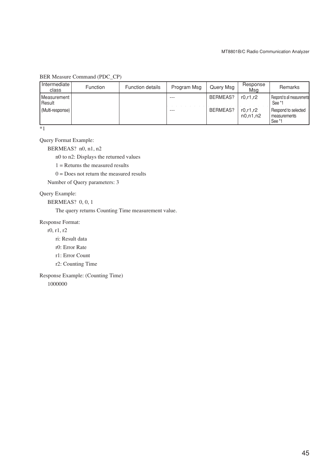## BER Measure Command (PDC\_CP)

| Intermediate<br>class   | <b>Function</b> | <b>Function details</b> | Program Msg | Query Msg | Response<br>Msa        | Remarks                                       |
|-------------------------|-----------------|-------------------------|-------------|-----------|------------------------|-----------------------------------------------|
| Measurement  <br>Result |                 |                         | ---         | BERMEAS?  | r0.r1.r2               | Respond to all measurements<br>See *1         |
| (Multi-response)        |                 |                         |             | BERMEAS?  | r0.r1.r2<br>n0, n1, n2 | Respond to selected<br>measurements<br>See *1 |

 $\overline{\cdot}$ 

Query Format Example:

BERMEAS? n0, n1, n2

n0 to n2: Displays the returned values

 $1 =$  Returns the measured results

 $0 =$  Does not return the measured results

Number of Query parameters: 3

## Query Example:

BERMEAS? 0, 0, 1

The query returns Counting Time measurement value.

#### Response Format:

r0, r1, r2

ri: Result data

r0: Error Rate

- r1: Error Count
- r2: Counting Time

Response Example: (Counting Time)

1000000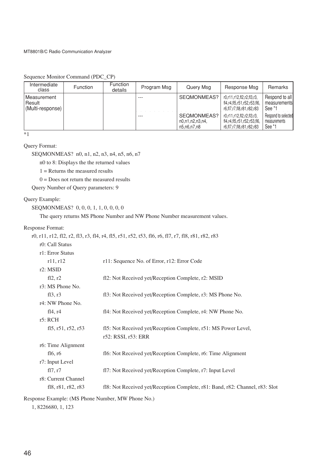| Intermediate<br>class                                      | <b>Function</b> | <b>Function</b><br>details | Program Msg | Query Msg                                     | Response Msg                                                                          | Remarks                                       |
|------------------------------------------------------------|-----------------|----------------------------|-------------|-----------------------------------------------|---------------------------------------------------------------------------------------|-----------------------------------------------|
| <b>IMeasurement</b><br><b>I</b> Result<br>(Multi-response) |                 |                            | $- - -$     | SEQMONMEAS?                                   | r0.r11.r12.fl2.r2.fl3.r3.<br>fl4,r4,fl5,r51,r52,r53,fl6,<br>r6,fl7,r7,fl8,r81,r82,r83 | Respond to all<br>measurements<br>See *1      |
|                                                            |                 |                            | $- - -$     | SEQMONMEAS?<br>n0,n1,n2,n3,n4,<br>n5.n6.n7.n8 | r0.r11.r12.fl2.r2.fl3.r3.<br>fl4,r4,fl5,r51,r52,r53,fl6,<br>r6,fl7,r7,fl8,r81,r82,r83 | Respond to selected<br>measurements<br>See *1 |

Sequence Monitor Command (PDC\_CP)

\*1

## Query Format:

SEQMONMEAS? n0, n1, n2, n3, n4, n5, n6, n7

n0 to 8: Displays the the returned values

 $1 =$  Returns the measured results

 $0 =$  Does not return the measured results

Query Number of Query parameters: 9

## Query Example:

SEQMONMEAS? 0, 0, 0, 1, 1, 0, 0, 0, 0

The query returns MS Phone Number and NW Phone Number measurement values.

#### Response Format:

|                       | r0, r11, r12, f12, r2, f13, r3, f14, r4, f15, r51, r52, t53, f16, r6, f17, r7, f18, r81, r82, r83 |
|-----------------------|---------------------------------------------------------------------------------------------------|
| r0: Call Status       |                                                                                                   |
| r1: Error Status      |                                                                                                   |
| r11, r12              | r11: Sequence No. of Error, r12: Error Code                                                       |
| $r2$ : MSID           |                                                                                                   |
| fl2, r2               | fl2: Not Received yet/Reception Complete, r2: MSID                                                |
| r3: MS Phone No.      |                                                                                                   |
| f13, r3               | fl3: Not Received yet/Reception Complete, r3: MS Phone No.                                        |
| r4: NW Phone No.      |                                                                                                   |
| fl4, r4               | fl4: Not Received yet/Reception Complete, r4: NW Phone No.                                        |
| r5:RCH                |                                                                                                   |
| fl $5, r51, r52, r53$ | fl5: Not Received yet/Reception Complete, r51: MS Power Level,                                    |
|                       | r52: RSSI, r53: ERR                                                                               |
| r6: Time Alignment    |                                                                                                   |
| fl6, r6               | fl6: Not Received yet/Reception Complete, r6: Time Alignment                                      |
| r7: Input Level       |                                                                                                   |
| f17, r7               | fl7: Not Received yet/Reception Complete, r7: Input Level                                         |
| r8: Current Channel   |                                                                                                   |
| fl8, r81, r82, r83    | fl8: Not Received yet/Reception Complete, r81: Band, r82: Channel, r83: Slot                      |
|                       |                                                                                                   |

Response Example: (MS Phone Number, MW Phone No.)

1, 8226680, 1, 123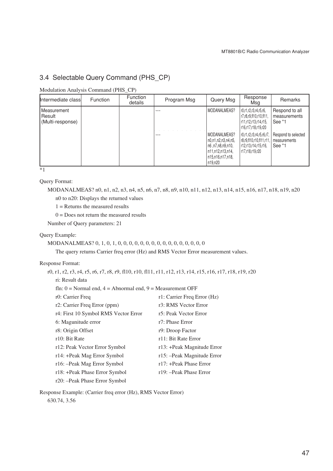# 3.4 Selectable Query Command (PHS\_CP)

Modulation Analysis Command (PHS\_CP)

| Intermediate class                         | <b>Function</b> | <b>Function</b><br>details | Program Msg | Query Msg                                                                                                            | Response<br>Msa                                                                                 | Remarks                                       |
|--------------------------------------------|-----------------|----------------------------|-------------|----------------------------------------------------------------------------------------------------------------------|-------------------------------------------------------------------------------------------------|-----------------------------------------------|
| Measurement<br> Result<br>(Multi-response) |                 |                            |             | MODANALMEAS?                                                                                                         | r0.r1.r2.r3.r4.r5.r6.<br>r7,r8,r9,fl10,r10,fl11,<br>r11,r12,r13,r14,r15,<br>r16.r17.r18.r19.r20 | Respond to all<br>measurements<br>See *1      |
|                                            |                 |                            |             | MODANALMEAS?<br>  n0.n1.n2.n3.n4.n5.<br>  n6 .n7.n8.n9.n10.<br>  n11,n12,n13,n14,<br>  n15,n16,n17,n18,<br>l n19.n20 | r0.r1.r2.r3.r4.r5.r6.r7.<br>r8.r9.fl10.r10.fl11.r11.<br>r12,r13,r14,r15,r16,<br>r17.r18.r19.r20 | Respond to selected<br>measurements<br>See *1 |

 $\overline{\ }$  \*1

Query Format:

MODANALMEAS? n0, n1, n2, n3, n4, n5, n6, n7, n8, n9, n10, n11, n12, n13, n14, n15, n16, n17, n18, n19, n20 n0 to n20: Displays the returned values

 $1 =$  Returns the measured results

 $0 = Does not return the measured results$ 

Number of Query parameters: 21

## Query Example:

MODANALMEAS? 0, 1, 0, 1, 0, 0, 0, 0, 0, 0, 0, 0, 0, 0, 0, 0, 0, 0, 0, 0

The query returns Carrier freq error (Hz) and RMS Vector Error measurement values.

## Response Format:

| r0, r1, r2, r3, r4, r5, r6, r7, r8, r9, f110, r10, f111, r11, r12, r13, r14, r15, r16, r17, r18, r19, r20 |                             |  |  |  |  |
|-----------------------------------------------------------------------------------------------------------|-----------------------------|--|--|--|--|
| ri: Result data                                                                                           |                             |  |  |  |  |
| fln: $0 = \text{Normal end}$ , $4 = \text{Abnormal end}$ , $9 = \text{Measurement OFF}$                   |                             |  |  |  |  |
| r0: Carrier Freq                                                                                          | r1: Carrier Freq Error (Hz) |  |  |  |  |
| r2: Carrier Freq Error (ppm)                                                                              | r3: RMS Vector Error        |  |  |  |  |
| r4: First 10 Symbol RMS Vector Error                                                                      | r5: Peak Vector Error       |  |  |  |  |
| 6: Magunitude error                                                                                       | r7: Phase Error             |  |  |  |  |
| r8: Origin Offset                                                                                         | r9: Droop Factor            |  |  |  |  |
| r10: Bit Rate                                                                                             | r11: Bit Rate Error         |  |  |  |  |
| r12: Peak Vector Error Symbol                                                                             | r13: +Peak Magnitude Error  |  |  |  |  |
| r14: +Peak Mag Error Symbol                                                                               | r15: - Peak Magnitude Error |  |  |  |  |
| r16: -Peak Mag Error Symbol                                                                               | r17: +Peak Phase Error      |  |  |  |  |
| r18: +Peak Phase Error Symbol                                                                             | r19: - Peak Phase Error     |  |  |  |  |
| r20: --Peak Phase Error Symbol                                                                            |                             |  |  |  |  |

Response Example: (Carrier freq error (Hz), RMS Vector Error)

630.74, 3.56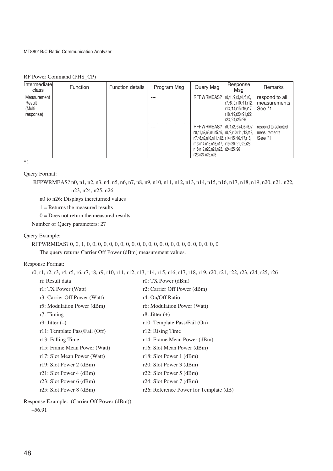## RF Power Command (PHS\_CP)

| Intermediate<br>class                                   | <b>Function</b> | <b>Function details</b> | Program Msg | Query Msg                                                                                                                                                                                                                                       | Response<br>Msa                                                                                                     | <b>Remarks</b>                                |
|---------------------------------------------------------|-----------------|-------------------------|-------------|-------------------------------------------------------------------------------------------------------------------------------------------------------------------------------------------------------------------------------------------------|---------------------------------------------------------------------------------------------------------------------|-----------------------------------------------|
| <b>I</b> Measurement<br>l Result<br>Multi-<br>response) |                 |                         |             | RFPWRMEAS?                                                                                                                                                                                                                                      | r0,r1,r2,r3,r4,r5,r6.<br>r7,r8,r9,r10,r11,r12,  <br>r13.r14.r15.r16.r17.<br>r18,r19,r20,r21,r22,<br>r23.r24.r25.r26 | respond to all<br>measurements<br>See *1      |
|                                                         |                 |                         |             | RFPWRMEAS?   r0,r1,r2,r3,r4,r5,r6,r7,<br>n0,n1,n2,n3,n4,n5,n6,   r8,r9,r10,r11,r12,r13,  <br>n7.n8.n9.n10.n11.n12. r14.r15.r16.r17.r18.<br>n13,n14,n15,n16,n17,   r19,r20,r21,r22,r23,<br>n18,n19,n20,n21,n22,   r24,r25,r26<br>n23.n24,n25,n26 |                                                                                                                     | respond to selected<br>measurements<br>See *1 |

 $*1$ 

#### Query Format:

RFPWRMEAS? n0, n1, n2, n3, n4, n5, n6, n7, n8, n9, n10, n11, n12, n13, n14, n15, n16, n17, n18, n19, n20, n21, n22, n23, n24, n25, n26

n0 to n26: Displays thereturned values

 $1 =$  Returns the measured results

 $0 =$  Does not return the measured results

Number of Query parameters: 27

## Query Example:

# RFPWRMEAS? 0, 0, 1, 0, 0, 0, 0, 0, 0, 0, 0, 0, 0, 0, 0, 0, 0, 0, 0, 0, 0, 0, 0, 0, 0, 0, 0

The query returns Carrier Off Power (dBm) measurement values.

## Response Format:

r0, r1, r2, r3, r4, r5, r6, r7, r8, r9, r10, r11, r12, r13, r14, r15, r16, r17, r18, r19, r20, r21, r22, r23, r24, r25, r26

| ri: Result data               | $r0$ : TX Power (dBm)                  |
|-------------------------------|----------------------------------------|
| r1: TX Power (Watt)           | r2: Carrier Off Power (dBm)            |
| r3: Carrier Off Power (Watt)  | r4: On/Off Ratio                       |
| r5: Modulation Power (dBm)    | r6: Modulation Power (Watt)            |
| $r7:$ Timing                  | r8: Jitter $(+)$                       |
| r9: Jitter $(-)$              | r10: Template Pass/Fail (On)           |
| r11: Template Pass/Fail (Off) | r12: Rising Time                       |
| r13: Falling Time             | r14: Frame Mean Power (dBm)            |
| r15: Frame Mean Power (Watt)  | r16: Slot Mean Power (dBm)             |
| r17: Slot Mean Power (Watt)   | $r18$ : Slot Power 1 (dBm)             |
| r19: Slot Power 2 $(dBm)$     | $r20$ : Slot Power 3 (dBm)             |
| $r21$ : Slot Power 4 (dBm)    | r22: Slot Power $5$ (dBm)              |
| r23: Slot Power $6$ (dBm)     | r24: Slot Power 7 $(dBm)$              |
| $r25$ : Slot Power 8 (dBm)    | r26: Reference Power for Template (dB) |
|                               |                                        |

Response Example: (Carrier Off Power (dBm))

```
–56.91
```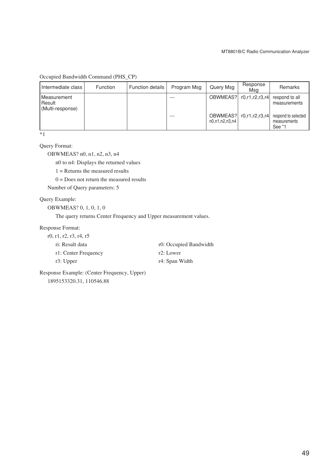Occupied Bandwidth Command (PHS\_CP)

| Intermediate class                        | <b>Function</b> | <b>Function details</b> | Program Msg | Query Msg                  | Response<br>Msg | Remarks                                       |
|-------------------------------------------|-----------------|-------------------------|-------------|----------------------------|-----------------|-----------------------------------------------|
| Measurement<br>Result<br>(Multi-response) |                 |                         | ---         | OBWMEAS?                   | r0.r1.r2.r3.r4  | respond to all<br>measurements                |
|                                           |                 |                         | ---         | OBWMEAS?<br>n0.n1.n2.n3.n4 | r0.r1.r2.r3.r4  | respond to selected<br>measurements<br>See *1 |

\*1

## Query Format:

OBWMEAS? n0, n1, n2, n3, n4

n0 to n4: Displays the returned values

- 1 = Returns the measured results
- $0 =$  Does not return the measured results

Number of Query parameters: 5

## Query Example:

OBWMEAS? 0, 1, 0, 1, 0

The query returns Center Frequency and Upper measurement values.

#### Response Format:

| r0, r1, r2, r3, r4, r5 |                        |
|------------------------|------------------------|
| ri: Result data        | r0: Occupied Bandwidth |
| r1: Center Frequency   | r2: Lower              |
| r3: Upper              | r4: Span Width         |

Response Example: (Center Frequency, Upper) 1895153320.31, 110546.88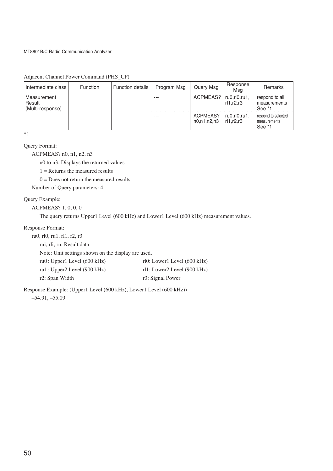Adjacent Channel Power Command (PHS\_CP)

| Intermediate class I                        | <b>Function</b> | <b>Function details</b> | Program Msg | Query Msg               | Response<br>Msa                | Remarks                                       |
|---------------------------------------------|-----------------|-------------------------|-------------|-------------------------|--------------------------------|-----------------------------------------------|
| Measurement<br>l Result<br>(Multi-response) |                 |                         | ---         | ACPMEAS?                | ru0, r10, ru1,<br>rl1.r2.r3    | respond to all<br>measurements<br>See *1      |
|                                             |                 |                         |             | ACPMEAS?<br>n0.n1.n2.n3 | $ru0, r10, ru1$ ,<br>r11.r2.r3 | respond to selected<br>measurements<br>See *1 |

\*1

Query Format:

ACPMEAS? n0, n1, n2, n3

n0 to n3: Displays the returned values

 $1 =$  Returns the measured results

 $0 =$  Does not return the measured results

Number of Query parameters: 4

## Query Example:

ACPMEAS? 1, 0, 0, 0

The query returns Upper1 Level (600 kHz) and Lower1 Level (600 kHz) measurement values.

#### Response Format:

| ru0, rl0, ru1, rl1, r2, r3                         |                             |
|----------------------------------------------------|-----------------------------|
| rui, rli, rn: Result data                          |                             |
| Note: Unit settings shown on the display are used. |                             |
| ru $0$ : Upper1 Level (600 kHz)                    | rl0: Lower1 Level (600 kHz) |
| ru1: Upper2 Level (900 kHz)                        | rl1: Lower2 Level (900 kHz) |
| r2: Span Width                                     | r3: Signal Power            |

Response Example: (Upper1 Level (600 kHz), Lower1 Level (600 kHz)) –54.91, –55.09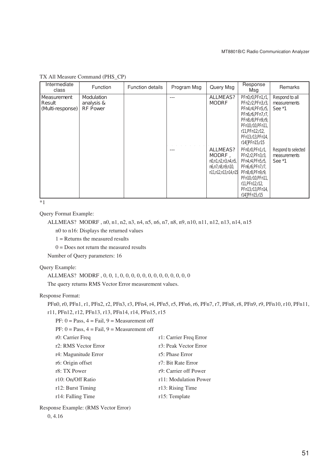| Intermediate<br>class                     | Function                                    | <b>Function details</b> | Program Msg | Query Msg                                                                           | Response<br>Msa                                                                                                                                                              | Remarks                                       |
|-------------------------------------------|---------------------------------------------|-------------------------|-------------|-------------------------------------------------------------------------------------|------------------------------------------------------------------------------------------------------------------------------------------------------------------------------|-----------------------------------------------|
| Measurement<br>Result<br>(Multi-response) | Modulation<br>analysis &<br><b>RF Power</b> |                         |             | ALLMEAS?<br><b>MODRF</b>                                                            | PFn0,r0,PFn1,r1,<br>PFn2,r2,PFn3,r3,<br>PFn4,r4,PFn5,r5,<br>PFn6,r6,PFn7,r7,<br>PFn8,r8,PFn9,r9,<br>PFn10r10PFn11.<br>r11, PF n12, r12,<br>PFn13,r13,PFn14,<br>r14 PFn15,r15 | Respond to all<br>measurements<br>See *1      |
|                                           |                                             |                         |             | ALLMEAS?<br>MODRF,<br>n0,n1,n2,n3,n4,n5,<br>n6,n7,n8,n9,n10,<br>n11,n12,n13,n14,n15 | PFn0,r0,PFn1,r1,<br>PFn2,r2,PFn3,r3,<br>PFn4,r4,PFn5,r5,<br>PFn6r6,PFn7,r7,<br>PFn8,r8,PFn9,r9,<br>PFn10r10,PFn11,<br>r11, PF n12, r12,<br>PFn13,r13,PFn14,<br>r14 PFn15,r15 | Respond to selected<br>measurements<br>See *1 |

TX All Measure Command (PHS\_CP)

 $\overline{1}$ 

Query Format Example:

```
ALLMEAS? MODRF , n0, n1, n2, n3, n4, n5, n6, n7, n8, n9, n10, n11, n12, n13, n14, n15
```
n0 to n16: Displays the returned values

 $1 =$  Returns the measured results

 $0 = Does not return the measured results$ 

Number of Query parameters: 16

## Query Example:

ALLMEAS? MODRF , 0, 0, 1, 0, 0, 0, 0, 0, 0, 0, 0, 0, 0, 0, 0, 0

The query returns RMS Vector Error measurement values.

### Response Format:

```
PFn0, r0, PFn1, r1, PFn2, r2, PFn3, r3, PFn4, r4, PFn5, r5, PFn6, r6, PFn7, r7, PFn8, r8, PFn9, r9, PFn10, r10, PFn11,
r11, PFn12, r12, PFn13, r13, PFn14, r14, PFn15, r15
```
 $PF: 0 = Pass, 4 = Fail, 9 = Measurement$ 

| $PF: 0 = Pass, 4 = Fail, 9 = Measurement$ |                        |
|-------------------------------------------|------------------------|
| r0: Carrier Freq                          | r1: Carrier Freq Error |
| r2: RMS Vector Error                      | r3: Peak Vector Error  |
| r4: Magunitude Error                      | r5: Phase Error        |
| r6: Origin offset                         | r7: Bit Rate Error     |
| r8: TX Power                              | r9: Carrier off Power  |
| r10: On/Off Ratio                         | r11: Modulation Power  |
| r12: Burst Timing                         | r13: Rising Time       |
| r14: Falling Time                         | r15: Template          |

Response Example: (RMS Vector Error)

0, 4.16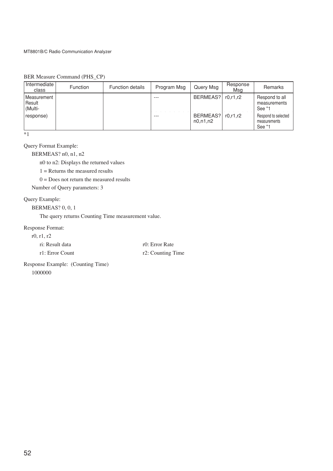| Intermediate<br>class                                | <b>Function</b> | <b>Function details</b> | Program Msg | Query Msg              | Response<br>Msa | Remarks                                       |
|------------------------------------------------------|-----------------|-------------------------|-------------|------------------------|-----------------|-----------------------------------------------|
| <b>Measurement</b><br>Result<br><sup>I</sup> (Multi- |                 |                         |             | BERMEAS?               | r0.r1.r2        | Respond to all<br>measurements<br>See *1      |
| response)                                            |                 |                         |             | BERMEAS?<br>n0, n1, n2 | r0.r1.r2        | Respond to selected<br>measurements<br>See *1 |

BER Measure Command (PHS\_CP)

\*1

Query Format Example:

BERMEAS? n0, n1, n2

n0 to n2: Displays the returned values

 $1 =$  Returns the measured results

 $0 =$  Does not return the measured results

Number of Query parameters: 3

## Query Example:

BERMEAS? 0, 0, 1

The query returns Counting Time measurement value.

#### Response Format:

r0, r1, r2

| ri: Result data | r0: Error Rate    |
|-----------------|-------------------|
| r1: Error Count | r2: Counting Time |

Response Example: (Counting Time) 1000000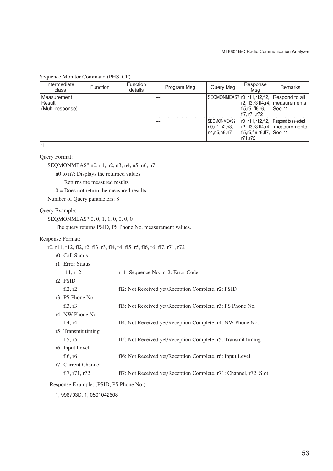| Intermediate<br>class                     | <b>Function</b> | <b>Function</b><br>details | Program Msg | Query Msg                                  | Response<br>Msa                                                              | Remarks                                       |
|-------------------------------------------|-----------------|----------------------------|-------------|--------------------------------------------|------------------------------------------------------------------------------|-----------------------------------------------|
| Measurement<br>Result<br>(Multi-response) |                 |                            | ---         | SEQMONMEAS? r0, r11, r12, fl2,             | r2, fl3,r3 fl4,r4,<br>fl5,r5, fl6,r6,<br>  fl7, r71,r72                      | Respond to all<br>Imeasurements<br>See *1     |
|                                           |                 |                            | ---         | SEQMONMEAS?<br>n0,n1,n2,n3,<br>n4.n5.n6.n7 | r0, r11, r12, fl2,<br>r2, fl3,r3 fl4,r4,<br>$f15,r5,f16,r6,f17$ .<br>r71.r72 | Respond to selected<br>measurements<br>See *1 |

## Sequence Monitor Command (PHS\_CP)

 $*1$ 

## Query Format:

SEQMONMEAS? n0, n1, n2, n3, n4, n5, n6, n7

n0 to n7: Displays the returned values

 $1 =$  Returns the measured results

 $0 =$  Does not return the measured results

Number of Query parameters: 8

#### Query Example:

SEQMONMEAS? 0, 0, 1, 1, 0, 0, 0, 0

The query returns PSID, PS Phone No. measurement values.

#### Response Format:

r0, r11, r12, fl2, r2, fl3, r3, fl4, r4, fl5, r5, fl6, r6, fl7, r71, r72

|  | r0: Call Status |  |
|--|-----------------|--|
|  |                 |  |

| r1: Error Status                                    |                                                                   |
|-----------------------------------------------------|-------------------------------------------------------------------|
| r11, r12                                            | r11: Sequence No., r12: Error Code                                |
| $r2$ : PSID                                         |                                                                   |
| fl2, r2                                             | fl2: Not Received yet/Reception Complete, r2: PSID                |
| r3: PS Phone No.                                    |                                                                   |
| fl3, r3                                             | fl3: Not Received yet/Reception Complete, r3: PS Phone No.        |
| r4: NW Phone No.                                    |                                                                   |
| fl $4, r4$                                          | fl4: Not Received yet/Reception Complete, r4: NW Phone No.        |
| r5: Transmit timing                                 |                                                                   |
| f15, r5                                             | f15: Not Received yet/Reception Complete, r5: Transmit timing     |
| r6: Input Level                                     |                                                                   |
| fl $6, r6$                                          | fl6: Not Received yet/Reception Complete, r6: Input Level         |
| r7: Current Channel                                 |                                                                   |
| fl <sub>7</sub> , r <sub>71</sub> , r <sub>72</sub> | fl7: Not Received yet/Reception Complete, r71: Channel, r72: Slot |
|                                                     |                                                                   |

Response Example: (PSID, PS Phone No.)

1, 996703D, 1, 0501042608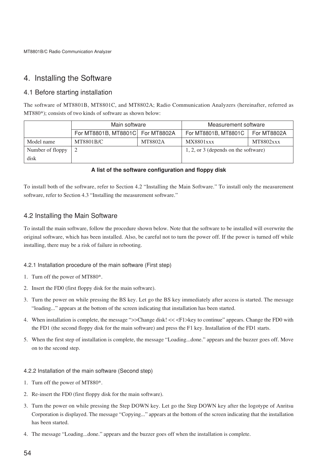# 4. Installing the Software

# 4.1 Before starting installation

The software of MT8801B, MT8801C, and MT8802A; Radio Communication Analyzers (hereinafter, referred as MT880\*); consists of two kinds of software as shown below:

|                  | Main software                    |         | Measurement software                   |                  |  |
|------------------|----------------------------------|---------|----------------------------------------|------------------|--|
|                  | For MT8801B, MT8801C For MT8802A |         | For MT8801B, MT8801C                   | For MT8802A      |  |
| Model name       | MT8801B/C                        | MT8802A | <b>MX8801xxx</b>                       | <b>MT8802xxx</b> |  |
| Number of floppy |                                  |         | $1, 2,$ or 3 (depends on the software) |                  |  |
| disk             |                                  |         |                                        |                  |  |

## **A list of the software configuration and floppy disk**

To install both of the software, refer to Section 4.2 "Installing the Main Software." To install only the measurement software, refer to Section 4.3 "Installing the measurement software."

## 4.2 Installing the Main Software

To install the main software, follow the procedure shown below. Note that the software to be installed will overwrite the original software, which has been installed. Also, be careful not to turn the power off. If the power is turned off while installing, there may be a risk of failure in rebooting.

## 4.2.1 Installation procedure of the main software (First step)

- 1. Turn off the power of MT880\*.
- 2. Insert the FD0 (first floppy disk for the main software).
- 3. Turn the power on while pressing the BS key. Let go the BS key immediately after access is started. The message "loading..." appears at the bottom of the screen indicating that installation has been started.
- 4. When installation is complete, the message ">>Change disk! << <F1>key to continue" appears. Change the FD0 with the FD1 (the second floppy disk for the main software) and press the F1 key. Installation of the FD1 starts.
- 5. When the first step of installation is complete, the message "Loading...done." appears and the buzzer goes off. Move on to the second step.

#### 4.2.2 Installation of the main software (Second step)

- 1. Turn off the power of MT880\*.
- 2. Re-insert the FD0 (first floppy disk for the main software).
- 3. Turn the power on while pressing the Step DOWN key. Let go the Step DOWN key after the logotype of Anritsu Corporation is displayed. The message "Copying..." appears at the bottom of the screen indicating that the installation has been started.
- 4. The message "Loading...done." appears and the buzzer goes off when the installation is complete.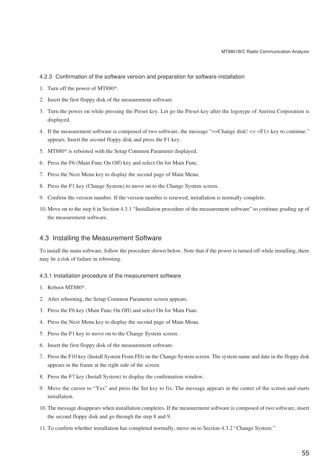- 4.2.3 Confirmation of the software version and preparation for software installation
- 1. Turn off the power of MT880\*.
- 2. Insert the first floppy disk of the measurement software.
- 3. Turn the power on while pressing the Preset key. Let go the Preset key after the logotype of Anritsu Corporation is displayed.
- 4. If the measurement software is composed of two software, the message ">>Change disk! << <F1> key to continue." appears. Insert the second floppy disk and press the F1 key.
- 5. MT880\* is rebooted with the Setup Common Parameter displayed.
- 6. Press the F6 (Main Func On Off) key and select On for Main Func.
- 7. Press the Next Menu key to display the second page of Main Menu.
- 8. Press the F1 key (Change System) to move on to the Change System screen.
- 9. Confirm the version number. If the version number is renewed, installation is normally complete.
- 10. Move on to the step 6 in Section 4.3.1 "Installation procedure of the measurement software" to continue grading up of the measurement software.

## 4.3 Installing the Measurement Software

To install the main software, follow the procedure shown below. Note that if the power is turned off while installing, there may be a risk of failure in rebooting.

## 4.3.1 Installation procedure of the measurement software

- 1. Reboot MT880\*.
- 2. After rebooting, the Setup Common Parameter screen appears.
- 3. Press the F6 key (Main Func On Off) and select On for Main Func.
- 4. Press the Next Menu key to display the second page of Main Menu.
- 5. Press the F1 key to move on to the Change System screen.
- 6. Insert the first floppy disk of the measurement software.
- 7. Press the F10 key (Install System From FD) on the Change System screen. The system name and date in the floppy disk appears in the frame at the right side of the screen.
- 8. Press the F7 key (Install System) to display the confirmation window.
- 9. Move the cursor to "Yes" and press the Set key to fix. The message appears at the center of the screen and starts installation.
- 10. The message disappears when installation completes. If the measurement software is composed of two software, insert the second floppy disk and go through the step 8 and 9.
- 11. To confirm whether installation has completed normally, move on to Section 4.3.2 "Change System."